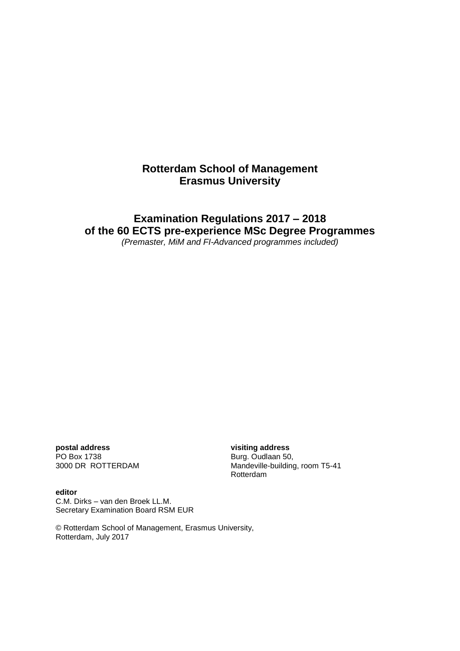# **Rotterdam School of Management Erasmus University**

# **Examination Regulations 2017 – 2018 of the 60 ECTS pre-experience MSc Degree Programmes**

*(Premaster, MiM and FI-Advanced programmes included)*

**postal address visiting address** PO Box 1738<br>
3000 DR ROTTERDAM
3000 DR BOTTERDAM
BOD BOR BOTTER AND THE SUBSETING Mandeville-building

#### **editor**

Mandeville-building, room T5-41 Rotterdam

C.M. Dirks – van den Broek LL.M. Secretary Examination Board RSM EUR

© Rotterdam School of Management, Erasmus University, Rotterdam, July 2017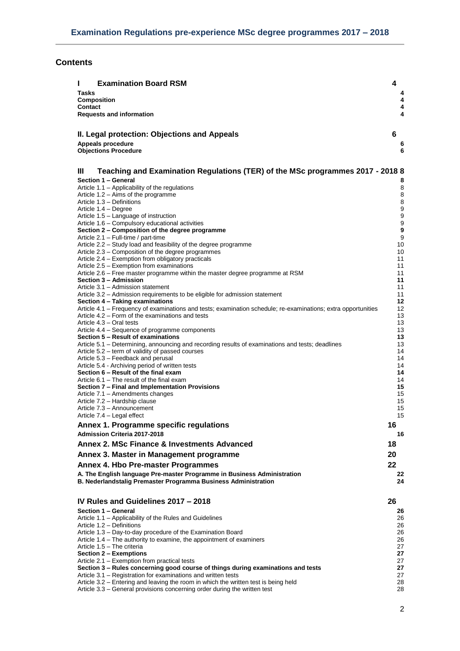# **Contents**

| <b>Examination Board RSM</b><br>L                                                                                                                                 | 4        |
|-------------------------------------------------------------------------------------------------------------------------------------------------------------------|----------|
| Tasks                                                                                                                                                             | 4        |
| <b>Composition</b>                                                                                                                                                | 4        |
| Contact<br><b>Requests and information</b>                                                                                                                        | 4<br>4   |
|                                                                                                                                                                   |          |
|                                                                                                                                                                   | 6        |
| II. Legal protection: Objections and Appeals                                                                                                                      |          |
| Appeals procedure<br><b>Objections Procedure</b>                                                                                                                  | 6<br>6   |
|                                                                                                                                                                   |          |
| Ш<br>Teaching and Examination Regulations (TER) of the MSc programmes 2017 - 2018 8                                                                               |          |
| Section 1 - General                                                                                                                                               | 8        |
| Article 1.1 – Applicability of the regulations                                                                                                                    | 8        |
| Article 1.2 – Aims of the programme                                                                                                                               | 8        |
| Article 1.3 - Definitions                                                                                                                                         | 8        |
| Article 1.4 – Degree<br>Article 1.5 - Language of instruction                                                                                                     | 9<br>9   |
| Article 1.6 – Compulsory educational activities                                                                                                                   | 9        |
| Section 2 – Composition of the degree programme                                                                                                                   | 9        |
| Article 2.1 – Full-time / part-time                                                                                                                               | 9        |
| Article 2.2 – Study load and feasibility of the degree programme<br>Article 2.3 - Composition of the degree programmes                                            | 10<br>10 |
| Article 2.4 – Exemption from obligatory practicals                                                                                                                | 11       |
| Article 2.5 - Exemption from examinations                                                                                                                         | 11       |
| Article 2.6 – Free master programme within the master degree programme at RSM<br>Section 3 - Admission                                                            | 11<br>11 |
| Article 3.1 - Admission statement                                                                                                                                 | 11       |
| Article 3.2 – Admission requirements to be eligible for admission statement                                                                                       | 11       |
| Section 4 - Taking examinations                                                                                                                                   | 12       |
| Article 4.1 – Frequency of examinations and tests; examination schedule; re-examinations; extra opportunities<br>Article 4.2 - Form of the examinations and tests | 12<br>13 |
| Article 4.3 - Oral tests                                                                                                                                          | 13       |
| Article 4.4 – Sequence of programme components                                                                                                                    | 13       |
| Section 5 - Result of examinations                                                                                                                                | 13       |
| Article 5.1 – Determining, announcing and recording results of examinations and tests; deadlines<br>Article 5.2 – term of validity of passed courses              | 13<br>14 |
| Article 5.3 – Feedback and perusal                                                                                                                                | 14       |
| Article 5.4 - Archiving period of written tests                                                                                                                   | 14       |
| Section 6 – Result of the final exam                                                                                                                              | 14       |
| Article 6.1 – The result of the final exam<br>Section 7 - Final and Implementation Provisions                                                                     | 14<br>15 |
| Article 7.1 - Amendments changes                                                                                                                                  | 15       |
| Article 7.2 - Hardship clause                                                                                                                                     | 15       |
| Article 7.3 - Announcement<br>Article 7.4 – Legal effect                                                                                                          | 15<br>15 |
| Annex 1. Programme specific regulations                                                                                                                           | 16       |
| Admission Criteria 2017-2018                                                                                                                                      | 16       |
| Annex 2. MSc Finance & Investments Advanced                                                                                                                       | 18       |
|                                                                                                                                                                   |          |
| Annex 3. Master in Management programme                                                                                                                           | 20       |
| Annex 4. Hbo Pre-master Programmes                                                                                                                                | 22       |
| A. The English language Pre-master Programme in Business Administration                                                                                           | 22       |
| B. Nederlandstalig Premaster Programma Business Administration                                                                                                    | 24       |
|                                                                                                                                                                   |          |
| IV Rules and Guidelines 2017 - 2018                                                                                                                               | 26       |
| Section 1 - General<br>Article 1.1 - Applicability of the Rules and Guidelines                                                                                    | 26<br>26 |
| Article 1.2 - Definitions                                                                                                                                         | 26       |
| Article 1.3 – Day-to-day procedure of the Examination Board                                                                                                       | 26       |
| Article 1.4 – The authority to examine, the appointment of examiners                                                                                              | 26       |
| Article 1.5 - The criteria<br>Section 2 – Exemptions                                                                                                              | 27<br>27 |
| Article 2.1 - Exemption from practical tests                                                                                                                      | 27       |
| Section 3 – Rules concerning good course of things during examinations and tests                                                                                  | 27       |
| Article 3.1 – Registration for examinations and written tests<br>Article 3.2 – Entering and leaving the room in which the written test is being held              | 27<br>28 |
| Article 3.3 – General provisions concerning order during the written test                                                                                         | 28       |
|                                                                                                                                                                   |          |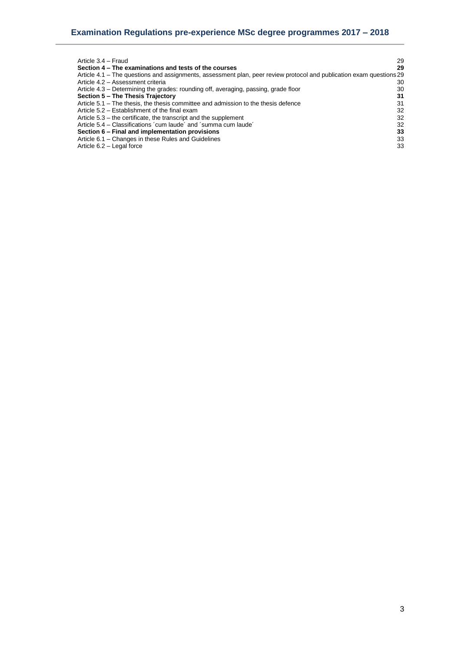| Article 3.4 - Fraud                                                                                                  | 29 |
|----------------------------------------------------------------------------------------------------------------------|----|
| Section 4 – The examinations and tests of the courses                                                                | 29 |
| Article 4.1 – The questions and assignments, assessment plan, peer review protocol and publication exam questions 29 |    |
| Article 4.2 - Assessment criteria                                                                                    | 30 |
| Article 4.3 – Determining the grades: rounding off, averaging, passing, grade floor                                  | 30 |
| Section 5 - The Thesis Trajectory                                                                                    | 31 |
| Article 5.1 – The thesis, the thesis committee and admission to the thesis defence                                   | 31 |
| Article 5.2 – Establishment of the final exam                                                                        | 32 |
| Article 5.3 – the certificate, the transcript and the supplement                                                     | 32 |
| Article 5.4 – Classifications 'cum laude' and 'summa cum laude'                                                      | 32 |
| Section 6 – Final and implementation provisions                                                                      | 33 |
| Article 6.1 - Changes in these Rules and Guidelines                                                                  | 33 |
| Article 6.2 - Legal force                                                                                            | 33 |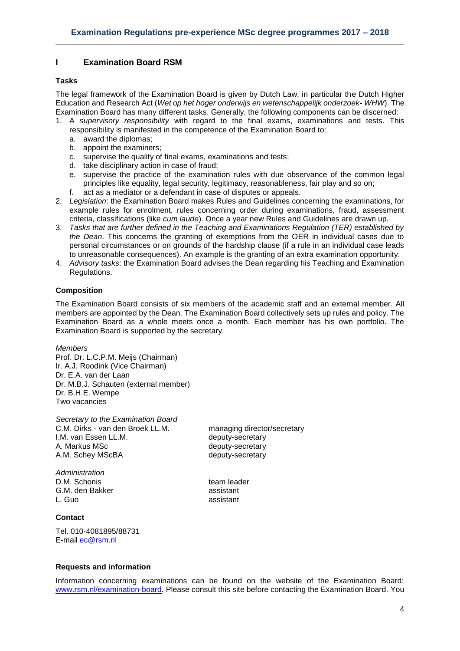# <span id="page-3-0"></span>**I Examination Board RSM**

# <span id="page-3-1"></span>**Tasks**

The legal framework of the Examination Board is given by Dutch Law, in particular the Dutch Higher Education and Research Act (*Wet op het hoger onderwijs en wetenschappelijk onderzoek- WHW*). The Examination Board has many different tasks. Generally, the following components can be discerned:

- 1. A *supervisory responsibility* with regard to the final exams, examinations and tests. This responsibility is manifested in the competence of the Examination Board to:
	- a. award the diplomas;
	- b. appoint the examiners;
	- c. supervise the quality of final exams, examinations and tests;
	- d. take disciplinary action in case of fraud;
	- e. supervise the practice of the examination rules with due observance of the common legal principles like equality, legal security, legitimacy, reasonableness, fair play and so on;
	- f. act as a mediator or a defendant in case of disputes or appeals.
- 2. *Legislation*: the Examination Board makes Rules and Guidelines concerning the examinations, for example rules for enrolment, rules concerning order during examinations, fraud, assessment criteria, classifications (like *cum laude*). Once a year new Rules and Guidelines are drawn up.
- 3. *Tasks that are further defined in the Teaching and Examinations Regulation (TER) established by the Dean*. This concerns the granting of exemptions from the OER in individual cases due to personal circumstances or on grounds of the hardship clause (if a rule in an individual case leads to unreasonable consequences). An example is the granting of an extra examination opportunity.
- 4. *Advisory tasks*: the Examination Board advises the Dean regarding his Teaching and Examination Regulations.

## <span id="page-3-2"></span>**Composition**

The Examination Board consists of six members of the academic staff and an external member. All members are appointed by the Dean. The Examination Board collectively sets up rules and policy. The Examination Board as a whole meets once a month. Each member has his own portfolio. The Examination Board is supported by the secretary.

#### *Members*

Prof. Dr. L.C.P.M. Meijs (Chairman) Ir. A.J. Roodink (Vice Chairman) Dr. E.A. van der Laan Dr. M.B.J. Schauten (external member) Dr. B.H.E. Wempe Two vacancies

*Secretary to the Examination Board* C.M. Dirks - van den Broek LL.M. managing director/secretary I.M. van Essen LL.M. **Example 20** deputy-secretary A. Markus MSc between the deputy-secretary A.M. Schey MScBA deputy-secretary

*Administration* D.M. Schonis team leader G.M. den Bakker assistant L. Guo assistant

# <span id="page-3-3"></span>**Contact**

Tel. 010-4081895/88731 E-mail [ec@rsm.nl](mailto:ec@rsm.nl)

<span id="page-3-4"></span>**Requests and information**

Information concerning examinations can be found on the website of the Examination Board: [www.rsm.nl/examination-board.](http://www.rsm.nl/examination-board) Please consult this site before contacting the Examination Board. You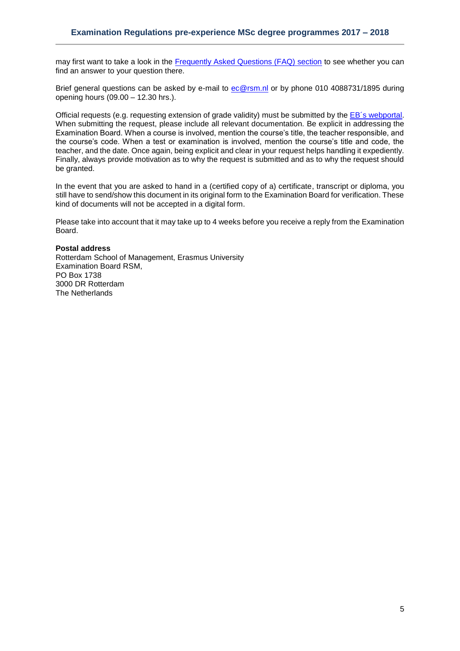may first want to take a look in the [Frequently Asked Questions \(FAQ\) section](http://www.rsm.nl/examination-board/frequently-asked-questions-faqs/) to see whether you can find an answer to your question there.

Brief general questions can be asked by e-mail to [ec@rsm.nl](mailto:ec@rsm.nl) or by phone 010 4088731/1895 during opening hours (09.00 – 12.30 hrs.).

Official requests (e.g. requesting extension of grade validity) must be submitted by the [EB´s webportal.](https://request-eb.rsm.nl/) When submitting the request, please include all relevant documentation. Be explicit in addressing the Examination Board. When a course is involved, mention the course's title, the teacher responsible, and the course's code. When a test or examination is involved, mention the course's title and code, the teacher, and the date. Once again, being explicit and clear in your request helps handling it expediently. Finally, always provide motivation as to why the request is submitted and as to why the request should be granted.

In the event that you are asked to hand in a (certified copy of a) certificate, transcript or diploma, you still have to send/show this document in its original form to the Examination Board for verification. These kind of documents will not be accepted in a digital form.

Please take into account that it may take up to 4 weeks before you receive a reply from the Examination Board.

#### **Postal address**

Rotterdam School of Management, Erasmus University Examination Board RSM, PO Box 1738 3000 DR Rotterdam The Netherlands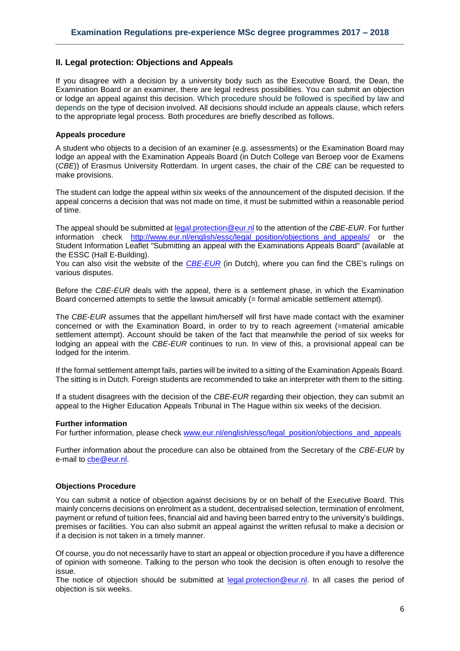# <span id="page-5-0"></span>**II. Legal protection: Objections and Appeals**

If you disagree with a decision by a university body such as the Executive Board, the Dean, the Examination Board or an examiner, there are legal redress possibilities. You can submit an objection or lodge an appeal against this decision. Which procedure should be followed is specified by law and depends on the type of decision involved. All decisions should include an appeals clause, which refers to the appropriate legal process. Both procedures are briefly described as follows.

#### <span id="page-5-1"></span>**Appeals procedure**

A student who objects to a decision of an examiner (e.g. assessments) or the Examination Board may lodge an appeal with the Examination Appeals Board (in Dutch College van Beroep voor de Examens (*CBE*)) of Erasmus University Rotterdam. In urgent cases, the chair of the *CBE* can be requested to make provisions.

The student can lodge the appeal within six weeks of the announcement of the disputed decision. If the appeal concerns a decision that was not made on time, it must be submitted within a reasonable period of time.

The appeal should be submitted at [legal.protection@eur.nl](mailto:legal.protection@eur.nl) to the attention of the *CBE*-*EUR*. For further information check [http://www.eur.nl/english/essc/legal\\_position/objections\\_and\\_appeals/](http://www.eur.nl/english/essc/legal_position/objections_and_appeals/) or the Student Information Leaflet "Submitting an appeal with the Examinations Appeals Board" (available at the ESSC (Hall E-Building).

You can also visit the website of the *[CBE-EUR](http://www.eur.nl/abd/jz/cbe/)* (in Dutch), where you can find the CBE's rulings on various disputes.

Before the *CBE*-*EUR* deals with the appeal, there is a settlement phase, in which the Examination Board concerned attempts to settle the lawsuit amicably (= formal amicable settlement attempt).

The *CBE*-*EUR* assumes that the appellant him/herself will first have made contact with the examiner concerned or with the Examination Board, in order to try to reach agreement (=material amicable settlement attempt). Account should be taken of the fact that meanwhile the period of six weeks for lodging an appeal with the *CBE*-*EUR* continues to run. In view of this, a provisional appeal can be lodged for the interim.

If the formal settlement attempt fails, parties will be invited to a sitting of the Examination Appeals Board. The sitting is in Dutch. Foreign students are recommended to take an interpreter with them to the sitting.

If a student disagrees with the decision of the *CBE-EUR* regarding their objection, they can submit an appeal to the Higher Education Appeals Tribunal in The Hague within six weeks of the decision.

#### **Further information**

For further information, please check [www.eur.nl/english/essc/legal\\_position/objections\\_and\\_appeals](http://www.eur.nl/english/essc/legal_position/objections_and_appeals)

Further information about the procedure can also be obtained from the Secretary of the *CBE-EUR* by e-mail to [cbe@eur.nl.](mailto:cbe@eur.nl)

#### <span id="page-5-2"></span>**Objections Procedure**

You can submit a notice of objection against decisions by or on behalf of the Executive Board. This mainly concerns decisions on enrolment as a student, decentralised selection, termination of enrolment, payment or refund of tuition fees, financial aid and having been barred entry to the university's buildings, premises or facilities. You can also submit an appeal against the written refusal to make a decision or if a decision is not taken in a timely manner.

Of course, you do not necessarily have to start an appeal or objection procedure if you have a difference of opinion with someone. Talking to the person who took the decision is often enough to resolve the issue.

The notice of objection should be submitted at [legal.protection@eur.nl.](mailto:legal.protection@eur.nl) In all cases the period of objection is six weeks.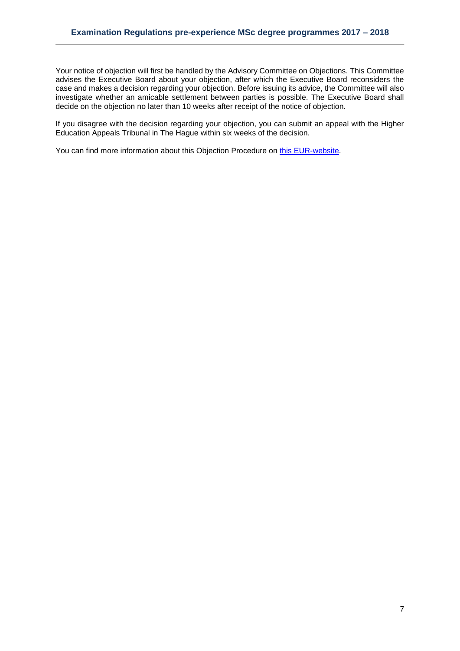Your notice of objection will first be handled by the Advisory Committee on Objections. This Committee advises the Executive Board about your objection, after which the Executive Board reconsiders the case and makes a decision regarding your objection. Before issuing its advice, the Committee will also investigate whether an amicable settlement between parties is possible. The Executive Board shall decide on the objection no later than 10 weeks after receipt of the notice of objection.

If you disagree with the decision regarding your objection, you can submit an appeal with the Higher Education Appeals Tribunal in The Hague within six weeks of the decision.

You can find more information about this Objection Procedure on [this EUR-website.](http://www.eur.nl/english/essc/legal_position/objections_and_appeals/)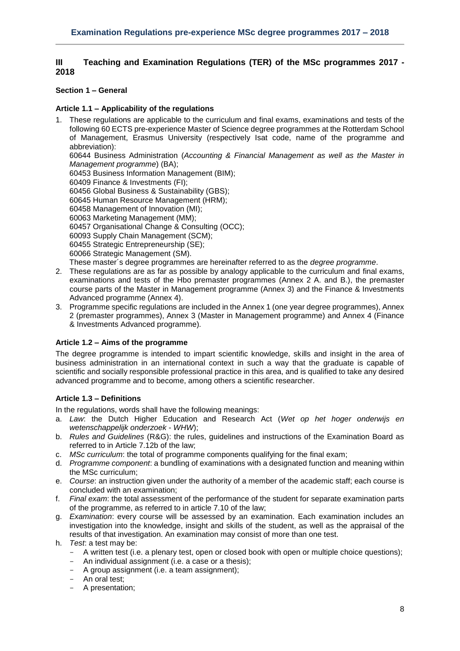# <span id="page-7-0"></span>**III Teaching and Examination Regulations (TER) of the MSc programmes 2017 - 2018**

# <span id="page-7-1"></span>**Section 1 – General**

# <span id="page-7-2"></span>**Article 1.1 – Applicability of the regulations**

1. These regulations are applicable to the curriculum and final exams, examinations and tests of the following 60 ECTS pre-experience Master of Science degree programmes at the Rotterdam School of Management, Erasmus University (respectively Isat code, name of the programme and abbreviation): 60644 Business Administration (*Accounting & Financial Management as well as the Master in Management programme*) (BA); 60453 Business Information Management (BIM); 60409 Finance & Investments (FI); 60456 Global Business & Sustainability (GBS); 60645 Human Resource Management (HRM); 60458 Management of Innovation (MI); 60063 Marketing Management (MM); 60457 Organisational Change & Consulting (OCC); 60093 Supply Chain Management (SCM); 60455 Strategic Entrepreneurship (SE); 60066 Strategic Management (SM).

These master´s degree programmes are hereinafter referred to as the *degree programme*.

- 2. These regulations are as far as possible by analogy applicable to the curriculum and final exams, examinations and tests of the Hbo premaster programmes (Annex 2 A. and B.), the premaster course parts of the Master in Management programme (Annex 3) and the Finance & Investments Advanced programme (Annex 4).
- 3. Programme specific regulations are included in the Annex 1 (one year degree programmes), Annex 2 (premaster programmes), Annex 3 (Master in Management programme) and Annex 4 (Finance & Investments Advanced programme)*.*

# <span id="page-7-3"></span>**Article 1.2 – Aims of the programme**

The degree programme is intended to impart scientific knowledge, skills and insight in the area of business administration in an international context in such a way that the graduate is capable of scientific and socially responsible professional practice in this area, and is qualified to take any desired advanced programme and to become, among others a scientific researcher.

# <span id="page-7-4"></span>**Article 1.3 – Definitions**

In the regulations, words shall have the following meanings:

- a. *Law*: the Dutch Higher Education and Research Act (*Wet op het hoger onderwijs en wetenschappelijk onderzoek* - *WHW*);
- b. *Rules and Guidelines* (R&G): the rules, guidelines and instructions of the Examination Board as referred to in Article 7.12b of the law;
- c. *MSc curriculum*: the total of programme components qualifying for the final exam;
- d. *Programme component*: a bundling of examinations with a designated function and meaning within the MSc curriculum;
- e. *Course*: an instruction given under the authority of a member of the academic staff; each course is concluded with an examination;
- f. *Final exam*: the total assessment of the performance of the student for separate examination parts of the programme, as referred to in article 7.10 of the law;
- g. *Examination*: every course will be assessed by an examination. Each examination includes an investigation into the knowledge, insight and skills of the student, as well as the appraisal of the results of that investigation. An examination may consist of more than one test.
- h. *Test*: a test may be:
	- A written test (i.e. a plenary test, open or closed book with open or multiple choice questions);
	- An individual assignment (i.e. a case or a thesis);
	- A group assignment (i.e. a team assignment);
	- An oral test;
	- A presentation;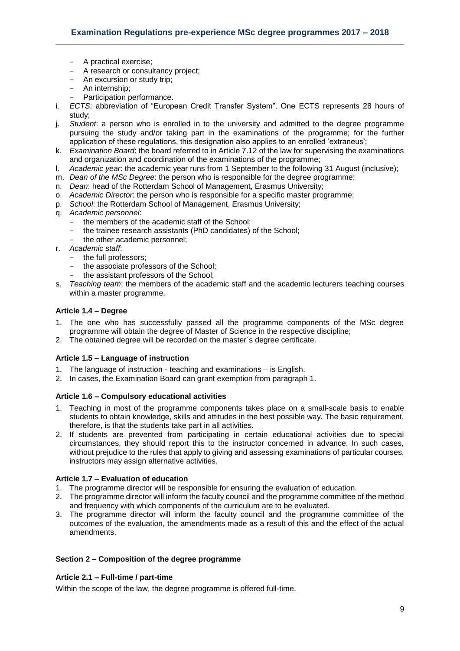- A practical exercise;
- A research or consultancy project;
- An excursion or study trip;
- An internship;
- Participation performance.
- i. *ECTS*: abbreviation of "European Credit Transfer System". One ECTS represents 28 hours of study;
- j. *Student*: a person who is enrolled in to the university and admitted to the degree programme pursuing the study and/or taking part in the examinations of the programme; for the further application of these regulations, this designation also applies to an enrolled 'extraneus';
- k. *Examination Board*: the board referred to in Article 7.12 of the law for supervising the examinations and organization and coordination of the examinations of the programme;
- l. *Academic year*: the academic year runs from 1 September to the following 31 August (inclusive);
- m. *Dean of the MSc Degree*: the person who is responsible for the degree programme;
- n. *Dean*: head of the Rotterdam School of Management, Erasmus University;
- o. *Academic Director*: the person who is responsible for a specific master programme;
- p. *School*: the Rotterdam School of Management, Erasmus University;
- q. *Academic personnel*:
	- the members of the academic staff of the School;
	- the trainee research assistants (PhD candidates) of the School;
	- the other academic personnel;
- r. *Academic staff*:
	- the full professors;
	- the associate professors of the School;
	- the assistant professors of the School;
- s. *Teaching team*: the members of the academic staff and the academic lecturers teaching courses within a master programme.

## <span id="page-8-0"></span>**Article 1.4 – Degree**

- 1. The one who has successfully passed all the programme components of the MSc degree programme will obtain the degree of Master of Science in the respective discipline;
- <span id="page-8-1"></span>2. The obtained degree will be recorded on the master´s degree certificate.

# **Article 1.5 – Language of instruction**

- 1. The language of instruction teaching and examinations is English.
- 2. In cases, the Examination Board can grant exemption from paragraph 1.

# <span id="page-8-2"></span>**Article 1.6 – Compulsory educational activities**

- 1. Teaching in most of the programme components takes place on a small-scale basis to enable students to obtain knowledge, skills and attitudes in the best possible way. The basic requirement, therefore, is that the students take part in all activities.
- 2. If students are prevented from participating in certain educational activities due to special circumstances, they should report this to the instructor concerned in advance. In such cases, without prejudice to the rules that apply to giving and assessing examinations of particular courses, instructors may assign alternative activities.

# **Article 1.7 – Evaluation of education**

- 1. The programme director will be responsible for ensuring the evaluation of education.
- 2. The programme director will inform the faculty council and the programme committee of the method and frequency with which components of the curriculum are to be evaluated.
- 3. The programme director will inform the faculty council and the programme committee of the outcomes of the evaluation, the amendments made as a result of this and the effect of the actual amendments.

# <span id="page-8-3"></span>**Section 2 – Composition of the degree programme**

#### <span id="page-8-4"></span>**Article 2.1 – Full-time / part-time**

Within the scope of the law, the degree programme is offered full-time.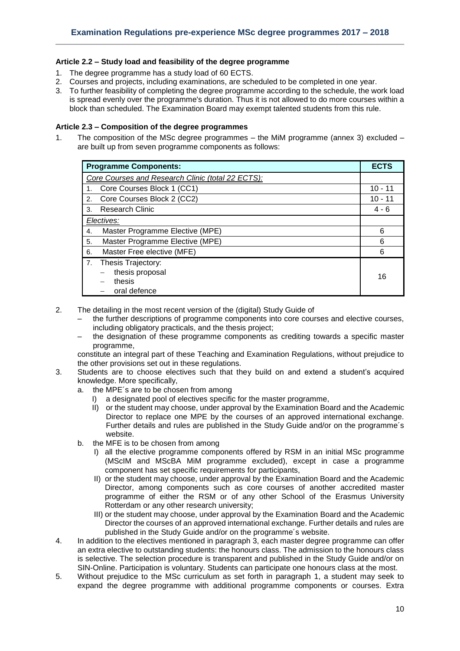# <span id="page-9-0"></span>**Article 2.2 – Study load and feasibility of the degree programme**

- 1. The degree programme has a study load of 60 ECTS.
- 2. Courses and projects, including examinations, are scheduled to be completed in one year.
- 3. To further feasibility of completing the degree programme according to the schedule, the work load is spread evenly over the programme's duration. Thus it is not allowed to do more courses within a block than scheduled. The Examination Board may exempt talented students from this rule.

## <span id="page-9-1"></span>**Article 2.3 – Composition of the degree programmes**

1. The composition of the MSc degree programmes – the MiM programme (annex 3) excluded – are built up from seven programme components as follows:

| <b>Programme Components:</b>                      |           |  |  |  |
|---------------------------------------------------|-----------|--|--|--|
| Core Courses and Research Clinic (total 22 ECTS): |           |  |  |  |
| Core Courses Block 1 (CC1)<br>1.                  | $10 - 11$ |  |  |  |
| Core Courses Block 2 (CC2)<br>2.                  | $10 - 11$ |  |  |  |
| <b>Research Clinic</b><br>3.                      | $4 - 6$   |  |  |  |
| Electives:                                        |           |  |  |  |
| Master Programme Elective (MPE)<br>4.             | 6         |  |  |  |
| Master Programme Elective (MPE)<br>5.             | 6         |  |  |  |
| Master Free elective (MFE)<br>6.                  | 6         |  |  |  |
| 7. Thesis Trajectory:                             |           |  |  |  |
| thesis proposal                                   | 16        |  |  |  |
| thesis                                            |           |  |  |  |
| oral defence                                      |           |  |  |  |

- 2. The detailing in the most recent version of the (digital) Study Guide of
	- the further descriptions of programme components into core courses and elective courses, including obligatory practicals, and the thesis project;
	- the designation of these programme components as crediting towards a specific master programme,

constitute an integral part of these Teaching and Examination Regulations, without prejudice to the other provisions set out in these regulations.

- 3. Students are to choose electives such that they build on and extend a student's acquired knowledge. More specifically,
	- a. the MPE´s are to be chosen from among
		- I) a designated pool of electives specific for the master programme,
		- II) or the student may choose, under approval by the Examination Board and the Academic Director to replace one MPE by the courses of an approved international exchange. Further details and rules are published in the Study Guide and/or on the programme´s website.
	- b. the MFE is to be chosen from among
		- I) all the elective programme components offered by RSM in an initial MSc programme (MScIM and MScBA MiM programme excluded), except in case a programme component has set specific requirements for participants,
		- II) or the student may choose, under approval by the Examination Board and the Academic Director, among components such as core courses of another accredited master programme of either the RSM or of any other School of the Erasmus University Rotterdam or any other research university;
		- III) or the student may choose, under approval by the Examination Board and the Academic Director the courses of an approved international exchange. Further details and rules are published in the Study Guide and/or on the programme´s website.
- 4. In addition to the electives mentioned in paragraph 3, each master degree programme can offer an extra elective to outstanding students: the honours class. The admission to the honours class is selective. The selection procedure is transparent and published in the Study Guide and/or on SIN-Online. Participation is voluntary. Students can participate one honours class at the most.
- 5. Without prejudice to the MSc curriculum as set forth in paragraph 1, a student may seek to expand the degree programme with additional programme components or courses. Extra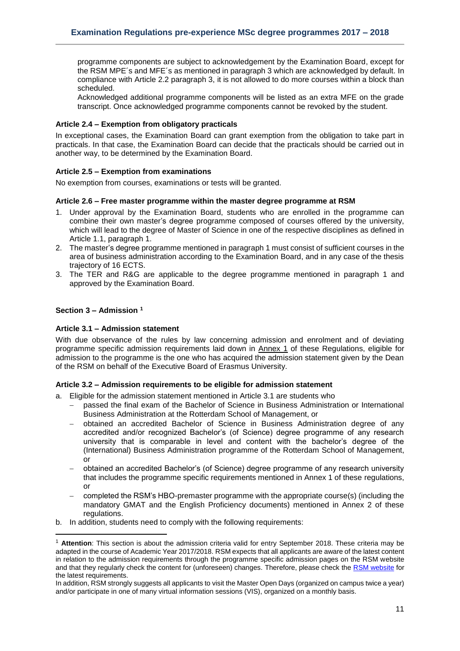programme components are subject to acknowledgement by the Examination Board, except for the RSM MPE´s and MFE´s as mentioned in paragraph 3 which are acknowledged by default. In compliance with Article 2.2 paragraph 3, it is not allowed to do more courses within a block than scheduled.

Acknowledged additional programme components will be listed as an extra MFE on the grade transcript. Once acknowledged programme components cannot be revoked by the student.

## <span id="page-10-0"></span>**Article 2.4 – Exemption from obligatory practicals**

In exceptional cases, the Examination Board can grant exemption from the obligation to take part in practicals. In that case, the Examination Board can decide that the practicals should be carried out in another way, to be determined by the Examination Board.

## <span id="page-10-1"></span>**Article 2.5 – Exemption from examinations**

<span id="page-10-2"></span>No exemption from courses, examinations or tests will be granted.

#### **Article 2.6 – Free master programme within the master degree programme at RSM**

- 1. Under approval by the Examination Board, students who are enrolled in the programme can combine their own master's degree programme composed of courses offered by the university, which will lead to the degree of Master of Science in one of the respective disciplines as defined in Article 1.1, paragraph 1.
- 2. The master's degree programme mentioned in paragraph 1 must consist of sufficient courses in the area of business administration according to the Examination Board, and in any case of the thesis trajectory of 16 ECTS.
- 3. The TER and R&G are applicable to the degree programme mentioned in paragraph 1 and approved by the Examination Board.

## <span id="page-10-3"></span>**Section 3 – Admission <sup>1</sup>**

1

#### <span id="page-10-4"></span>**Article 3.1 – Admission statement**

With due observance of the rules by law concerning admission and enrolment and of deviating programme specific admission requirements laid down in Annex 1 of these Regulations, eligible for admission to the programme is the one who has acquired the admission statement given by the Dean of the RSM on behalf of the Executive Board of Erasmus University.

# <span id="page-10-5"></span>**Article 3.2 – Admission requirements to be eligible for admission statement**

- a. Eligible for the admission statement mentioned in Article 3.1 are students who
	- passed the final exam of the Bachelor of Science in Business Administration or International Business Administration at the Rotterdam School of Management, or
	- obtained an accredited Bachelor of Science in Business Administration degree of any accredited and/or recognized Bachelor's (of Science) degree programme of any research university that is comparable in level and content with the bachelor's degree of the (International) Business Administration programme of the Rotterdam School of Management, or
	- obtained an accredited Bachelor's (of Science) degree programme of any research university that includes the programme specific requirements mentioned in Annex 1 of these regulations, or
	- completed the RSM's HBO-premaster programme with the appropriate course(s) (including the mandatory GMAT and the English Proficiency documents) mentioned in Annex 2 of these regulations.
- b. In addition, students need to comply with the following requirements:

<sup>1</sup> **Attention**: This section is about the admission criteria valid for entry September 2018. These criteria may be adapted in the course of Academic Year 2017/2018. RSM expects that all applicants are aware of the latest content in relation to the admission requirements through the programme specific admission pages on the RSM website and that they regularly check the content for (unforeseen) changes. Therefore, please check the [RSM website](https://www.rsm.nl/master/msc-programmes/) for the latest requirements.

In addition, RSM strongly suggests all applicants to visit the Master Open Days (organized on campus twice a year) and/or participate in one of many virtual information sessions (VIS), organized on a monthly basis.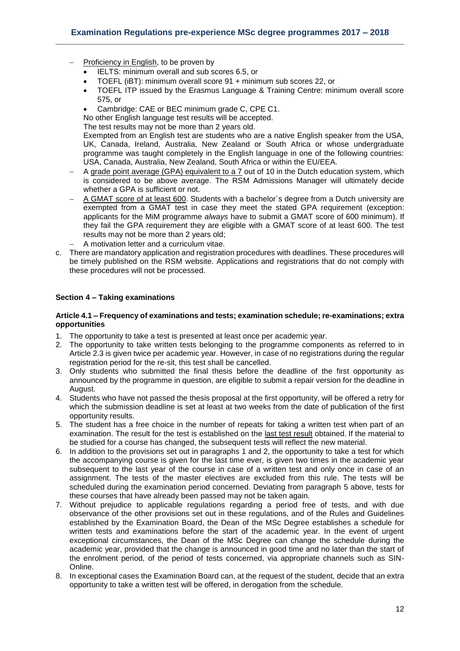- Proficiency in English, to be proven by
	- IELTS: minimum overall and sub scores 6.5, or
	- TOEFL (iBT): minimum overall score 91 + minimum sub scores 22, or
	- TOEFL ITP issued by the Erasmus Language & Training Centre: minimum overall score 575, or
	- Cambridge: CAE or BEC minimum grade C, CPE C1.

No other English language test results will be accepted.

The test results may not be more than 2 years old.

Exempted from an English test are students who are a native English speaker from the USA, UK, Canada, Ireland, Australia, New Zealand or South Africa or whose undergraduate programme was taught completely in the English language in one of the following countries: USA, Canada, Australia, New Zealand, South Africa or within the EU/EEA.

- A grade point average (GPA) equivalent to a 7 out of 10 in the Dutch education system, which is considered to be above average. The RSM Admissions Manager will ultimately decide whether a GPA is sufficient or not.
- A GMAT score of at least 600. Students with a bachelor's degree from a Dutch university are exempted from a GMAT test in case they meet the stated GPA requirement (exception: applicants for the MiM programme *always* have to submit a GMAT score of 600 minimum). If they fail the GPA requirement they are eligible with a GMAT score of at least 600. The test results may not be more than 2 years old;
	- A motivation letter and a curriculum vitae.
- c. There are mandatory application and registration procedures with deadlines. These procedures will be timely published on the RSM website. Applications and registrations that do not comply with these procedures will not be processed.

## <span id="page-11-0"></span>**Section 4 – Taking examinations**

#### <span id="page-11-1"></span>**Article 4.1 – Frequency of examinations and tests; examination schedule; re-examinations; extra opportunities**

- 1. The opportunity to take a test is presented at least once per academic year.
- 2. The opportunity to take written tests belonging to the programme components as referred to in Article 2.3 is given twice per academic year. However, in case of no registrations during the regular registration period for the re-sit, this test shall be cancelled.
- 3. Only students who submitted the final thesis before the deadline of the first opportunity as announced by the programme in question, are eligible to submit a repair version for the deadline in August.
- 4. Students who have not passed the thesis proposal at the first opportunity, will be offered a retry for which the submission deadline is set at least at two weeks from the date of publication of the first opportunity results.
- 5. The student has a free choice in the number of repeats for taking a written test when part of an examination. The result for the test is established on the last test result obtained. If the material to be studied for a course has changed, the subsequent tests will reflect the new material.
- 6. In addition to the provisions set out in paragraphs 1 and 2, the opportunity to take a test for which the accompanying course is given for the last time ever, is given two times in the academic year subsequent to the last year of the course in case of a written test and only once in case of an assignment. The tests of the master electives are excluded from this rule. The tests will be scheduled during the examination period concerned. Deviating from paragraph 5 above, tests for these courses that have already been passed may not be taken again.
- 7. Without prejudice to applicable regulations regarding a period free of tests, and with due observance of the other provisions set out in these regulations, and of the Rules and Guidelines established by the Examination Board, the Dean of the MSc Degree establishes a schedule for written tests and examinations before the start of the academic year. In the event of urgent exceptional circumstances, the Dean of the MSc Degree can change the schedule during the academic year, provided that the change is announced in good time and no later than the start of the enrolment period, of the period of tests concerned, via appropriate channels such as SIN-Online.
- 8. In exceptional cases the Examination Board can, at the request of the student, decide that an extra opportunity to take a written test will be offered, in derogation from the schedule.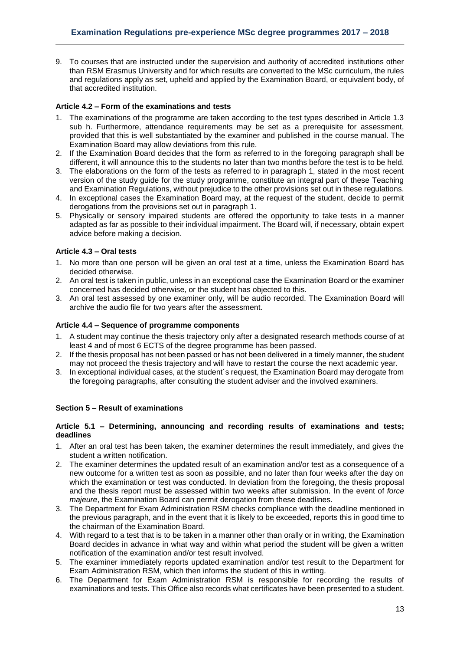9. To courses that are instructed under the supervision and authority of accredited institutions other than RSM Erasmus University and for which results are converted to the MSc curriculum, the rules and regulations apply as set, upheld and applied by the Examination Board, or equivalent body, of that accredited institution.

# <span id="page-12-0"></span>**Article 4.2 – Form of the examinations and tests**

- 1. The examinations of the programme are taken according to the test types described in Article 1.3 sub h. Furthermore, attendance requirements may be set as a prerequisite for assessment, provided that this is well substantiated by the examiner and published in the course manual. The Examination Board may allow deviations from this rule.
- 2. If the Examination Board decides that the form as referred to in the foregoing paragraph shall be different, it will announce this to the students no later than two months before the test is to be held.
- 3. The elaborations on the form of the tests as referred to in paragraph 1, stated in the most recent version of the study guide for the study programme, constitute an integral part of these Teaching and Examination Regulations, without prejudice to the other provisions set out in these regulations.
- 4. In exceptional cases the Examination Board may, at the request of the student, decide to permit derogations from the provisions set out in paragraph 1.
- 5. Physically or sensory impaired students are offered the opportunity to take tests in a manner adapted as far as possible to their individual impairment. The Board will, if necessary, obtain expert advice before making a decision.

# <span id="page-12-1"></span>**Article 4.3 – Oral tests**

- 1. No more than one person will be given an oral test at a time, unless the Examination Board has decided otherwise.
- 2. An oral test is taken in public, unless in an exceptional case the Examination Board or the examiner concerned has decided otherwise, or the student has objected to this.
- 3. An oral test assessed by one examiner only, will be audio recorded. The Examination Board will archive the audio file for two years after the assessment.

# <span id="page-12-2"></span>**Article 4.4 – Sequence of programme components**

- 1. A student may continue the thesis trajectory only after a designated research methods course of at least 4 and of most 6 ECTS of the degree programme has been passed.
- 2. If the thesis proposal has not been passed or has not been delivered in a timely manner, the student may not proceed the thesis trajectory and will have to restart the course the next academic year.
- 3. In exceptional individual cases, at the student´s request, the Examination Board may derogate from the foregoing paragraphs, after consulting the student adviser and the involved examiners.

# <span id="page-12-3"></span>**Section 5 – Result of examinations**

## <span id="page-12-4"></span>**Article 5.1 – Determining, announcing and recording results of examinations and tests; deadlines**

- 1. After an oral test has been taken, the examiner determines the result immediately, and gives the student a written notification.
- 2. The examiner determines the updated result of an examination and/or test as a consequence of a new outcome for a written test as soon as possible, and no later than four weeks after the day on which the examination or test was conducted. In deviation from the foregoing, the thesis proposal and the thesis report must be assessed within two weeks after submission. In the event of *force majeure*, the Examination Board can permit derogation from these deadlines.
- 3. The Department for Exam Administration RSM checks compliance with the deadline mentioned in the previous paragraph, and in the event that it is likely to be exceeded, reports this in good time to the chairman of the Examination Board.
- 4. With regard to a test that is to be taken in a manner other than orally or in writing, the Examination Board decides in advance in what way and within what period the student will be given a written notification of the examination and/or test result involved.
- 5. The examiner immediately reports updated examination and/or test result to the Department for Exam Administration RSM, which then informs the student of this in writing.
- 6. The Department for Exam Administration RSM is responsible for recording the results of examinations and tests. This Office also records what certificates have been presented to a student.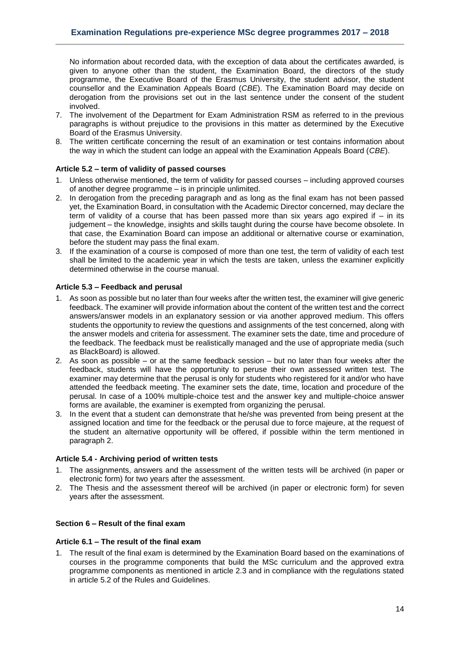No information about recorded data, with the exception of data about the certificates awarded, is given to anyone other than the student, the Examination Board, the directors of the study programme, the Executive Board of the Erasmus University, the student advisor, the student counsellor and the Examination Appeals Board (*CBE*). The Examination Board may decide on derogation from the provisions set out in the last sentence under the consent of the student involved.

- 7. The involvement of the Department for Exam Administration RSM as referred to in the previous paragraphs is without prejudice to the provisions in this matter as determined by the Executive Board of the Erasmus University.
- 8. The written certificate concerning the result of an examination or test contains information about the way in which the student can lodge an appeal with the Examination Appeals Board (*CBE*).

# <span id="page-13-0"></span>**Article 5.2 – term of validity of passed courses**

- 1. Unless otherwise mentioned, the term of validity for passed courses including approved courses of another degree programme – is in principle unlimited.
- 2. In derogation from the preceding paragraph and as long as the final exam has not been passed yet, the Examination Board, in consultation with the Academic Director concerned, may declare the term of validity of a course that has been passed more than six years ago expired if – in its judgement – the knowledge, insights and skills taught during the course have become obsolete. In that case, the Examination Board can impose an additional or alternative course or examination, before the student may pass the final exam.
- 3. If the examination of a course is composed of more than one test, the term of validity of each test shall be limited to the academic year in which the tests are taken, unless the examiner explicitly determined otherwise in the course manual.

# <span id="page-13-1"></span>**Article 5.3 – Feedback and perusal**

- 1. As soon as possible but no later than four weeks after the written test, the examiner will give generic feedback. The examiner will provide information about the content of the written test and the correct answers/answer models in an explanatory session or via another approved medium. This offers students the opportunity to review the questions and assignments of the test concerned, along with the answer models and criteria for assessment. The examiner sets the date, time and procedure of the feedback. The feedback must be realistically managed and the use of appropriate media (such as BlackBoard) is allowed.
- 2. As soon as possible or at the same feedback session but no later than four weeks after the feedback, students will have the opportunity to peruse their own assessed written test. The examiner may determine that the perusal is only for students who registered for it and/or who have attended the feedback meeting. The examiner sets the date, time, location and procedure of the perusal. In case of a 100% multiple-choice test and the answer key and multiple-choice answer forms are available, the examiner is exempted from organizing the perusal.
- 3. In the event that a student can demonstrate that he/she was prevented from being present at the assigned location and time for the feedback or the perusal due to force majeure, at the request of the student an alternative opportunity will be offered, if possible within the term mentioned in paragraph 2.

#### <span id="page-13-2"></span>**Article 5.4 - Archiving period of written tests**

- 1. The assignments, answers and the assessment of the written tests will be archived (in paper or electronic form) for two years after the assessment.
- 2. The Thesis and the assessment thereof will be archived (in paper or electronic form) for seven years after the assessment.

# <span id="page-13-3"></span>**Section 6 – Result of the final exam**

## <span id="page-13-4"></span>**Article 6.1 – The result of the final exam**

1. The result of the final exam is determined by the Examination Board based on the examinations of courses in the programme components that build the MSc curriculum and the approved extra programme components as mentioned in article 2.3 and in compliance with the regulations stated in article 5.2 of the Rules and Guidelines.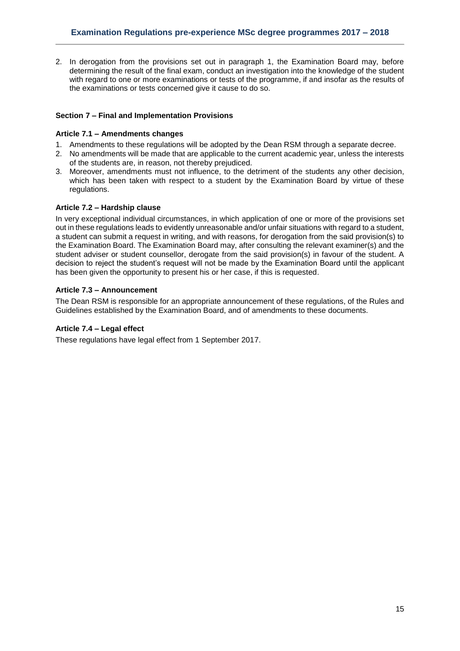2. In derogation from the provisions set out in paragraph 1, the Examination Board may, before determining the result of the final exam, conduct an investigation into the knowledge of the student with regard to one or more examinations or tests of the programme, if and insofar as the results of the examinations or tests concerned give it cause to do so.

# <span id="page-14-0"></span>**Section 7 – Final and Implementation Provisions**

## <span id="page-14-1"></span>**Article 7.1 – Amendments changes**

- 1. Amendments to these regulations will be adopted by the Dean RSM through a separate decree.
- 2. No amendments will be made that are applicable to the current academic year, unless the interests of the students are, in reason, not thereby prejudiced.
- 3. Moreover, amendments must not influence, to the detriment of the students any other decision, which has been taken with respect to a student by the Examination Board by virtue of these regulations.

# <span id="page-14-2"></span>**Article 7.2 – Hardship clause**

In very exceptional individual circumstances, in which application of one or more of the provisions set out in these regulations leads to evidently unreasonable and/or unfair situations with regard to a student, a student can submit a request in writing, and with reasons, for derogation from the said provision(s) to the Examination Board. The Examination Board may, after consulting the relevant examiner(s) and the student adviser or student counsellor, derogate from the said provision(s) in favour of the student. A decision to reject the student's request will not be made by the Examination Board until the applicant has been given the opportunity to present his or her case, if this is requested.

# <span id="page-14-3"></span>**Article 7.3 – Announcement**

The Dean RSM is responsible for an appropriate announcement of these regulations, of the Rules and Guidelines established by the Examination Board, and of amendments to these documents.

#### <span id="page-14-4"></span>**Article 7.4 – Legal effect**

These regulations have legal effect from 1 September 2017.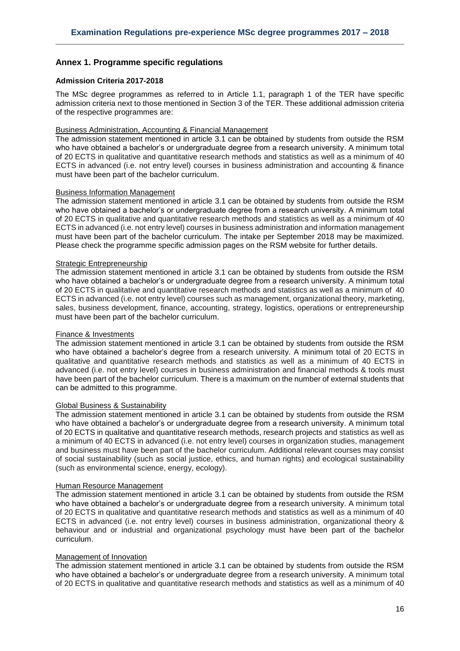# <span id="page-15-0"></span>**Annex 1. Programme specific regulations**

## <span id="page-15-1"></span>**Admission Criteria 2017-2018**

The MSc degree programmes as referred to in Article 1.1, paragraph 1 of the TER have specific admission criteria next to those mentioned in Section 3 of the TER. These additional admission criteria of the respective programmes are:

#### Business Administration, Accounting & Financial Management

The admission statement mentioned in article 3.1 can be obtained by students from outside the RSM who have obtained a bachelor's or undergraduate degree from a research university. A minimum total of 20 ECTS in qualitative and quantitative research methods and statistics as well as a minimum of 40 ECTS in advanced (i.e. not entry level) courses in business administration and accounting & finance must have been part of the bachelor curriculum.

#### Business Information Management

The admission statement mentioned in article 3.1 can be obtained by students from outside the RSM who have obtained a bachelor's or undergraduate degree from a research university. A minimum total of 20 ECTS in qualitative and quantitative research methods and statistics as well as a minimum of 40 ECTS in advanced (i.e. not entry level) courses in business administration and information management must have been part of the bachelor curriculum. The intake per September 2018 may be maximized. Please check the programme specific admission pages on the RSM website for further details.

## **Strategic Entrepreneurship**

The admission statement mentioned in article 3.1 can be obtained by students from outside the RSM who have obtained a bachelor's or undergraduate degree from a research university. A minimum total of 20 ECTS in qualitative and quantitative research methods and statistics as well as a minimum of 40 ECTS in advanced (i.e. not entry level) courses such as management, organizational theory, marketing, sales, business development, finance, accounting, strategy, logistics, operations or entrepreneurship must have been part of the bachelor curriculum.

#### Finance & Investments

The admission statement mentioned in article 3.1 can be obtained by students from outside the RSM who have obtained a bachelor's degree from a research university. A minimum total of 20 ECTS in qualitative and quantitative research methods and statistics as well as a minimum of 40 ECTS in advanced (i.e. not entry level) courses in business administration and financial methods & tools must have been part of the bachelor curriculum. There is a maximum on the number of external students that can be admitted to this programme.

#### Global Business & Sustainability

The admission statement mentioned in article 3.1 can be obtained by students from outside the RSM who have obtained a bachelor's or undergraduate degree from a research university. A minimum total of 20 ECTS in qualitative and quantitative research methods, research projects and statistics as well as a minimum of 40 ECTS in advanced (i.e. not entry level) courses in organization studies, management and business must have been part of the bachelor curriculum. Additional relevant courses may consist of social sustainability (such as social justice, ethics, and human rights) and ecological sustainability (such as environmental science, energy, ecology).

#### Human Resource Management

The admission statement mentioned in article 3.1 can be obtained by students from outside the RSM who have obtained a bachelor's or undergraduate degree from a research university. A minimum total of 20 ECTS in qualitative and quantitative research methods and statistics as well as a minimum of 40 ECTS in advanced (i.e. not entry level) courses in business administration, organizational theory & behaviour and or industrial and organizational psychology must have been part of the bachelor curriculum.

## Management of Innovation

The admission statement mentioned in article 3.1 can be obtained by students from outside the RSM who have obtained a bachelor's or undergraduate degree from a research university. A minimum total of 20 ECTS in qualitative and quantitative research methods and statistics as well as a minimum of 40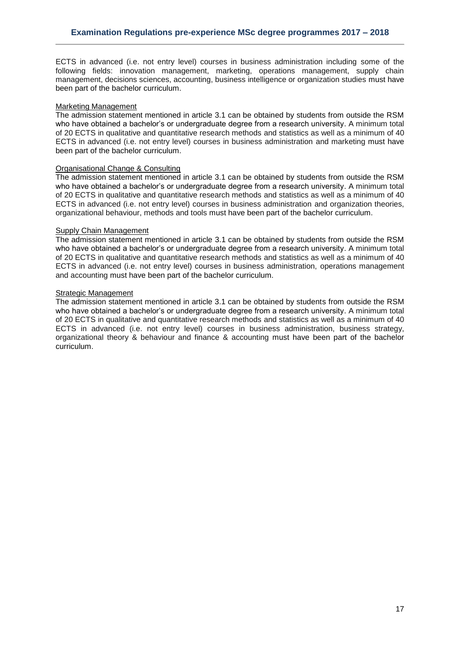ECTS in advanced (i.e. not entry level) courses in business administration including some of the following fields: innovation management, marketing, operations management, supply chain management, decisions sciences, accounting, business intelligence or organization studies must have been part of the bachelor curriculum.

#### Marketing Management

The admission statement mentioned in article 3.1 can be obtained by students from outside the RSM who have obtained a bachelor's or undergraduate degree from a research university. A minimum total of 20 ECTS in qualitative and quantitative research methods and statistics as well as a minimum of 40 ECTS in advanced (i.e. not entry level) courses in business administration and marketing must have been part of the bachelor curriculum.

## Organisational Change & Consulting

The admission statement mentioned in article 3.1 can be obtained by students from outside the RSM who have obtained a bachelor's or undergraduate degree from a research university. A minimum total of 20 ECTS in qualitative and quantitative research methods and statistics as well as a minimum of 40 ECTS in advanced (i.e. not entry level) courses in business administration and organization theories, organizational behaviour, methods and tools must have been part of the bachelor curriculum.

## Supply Chain Management

The admission statement mentioned in article 3.1 can be obtained by students from outside the RSM who have obtained a bachelor's or undergraduate degree from a research university. A minimum total of 20 ECTS in qualitative and quantitative research methods and statistics as well as a minimum of 40 ECTS in advanced (i.e. not entry level) courses in business administration, operations management and accounting must have been part of the bachelor curriculum.

## Strategic Management

The admission statement mentioned in article 3.1 can be obtained by students from outside the RSM who have obtained a bachelor's or undergraduate degree from a research university. A minimum total of 20 ECTS in qualitative and quantitative research methods and statistics as well as a minimum of 40 ECTS in advanced (i.e. not entry level) courses in business administration, business strategy, organizational theory & behaviour and finance & accounting must have been part of the bachelor curriculum.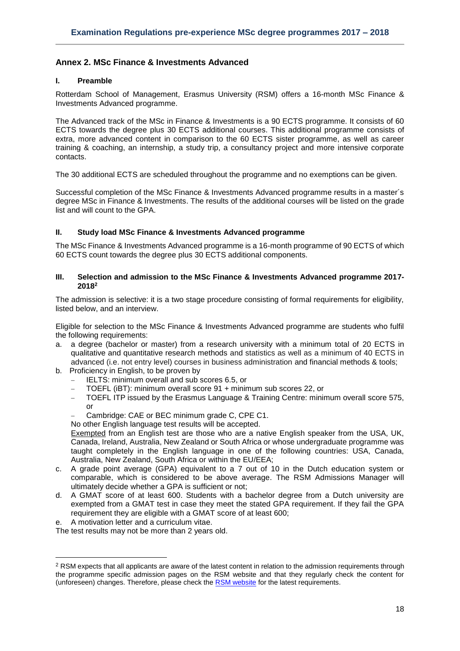# <span id="page-17-0"></span>**Annex 2. MSc Finance & Investments Advanced**

# **I. Preamble**

Rotterdam School of Management, Erasmus University (RSM) offers a 16-month MSc Finance & Investments Advanced programme.

The Advanced track of the MSc in Finance & Investments is a 90 ECTS programme. It consists of 60 ECTS towards the degree plus 30 ECTS additional courses. This additional programme consists of extra, more advanced content in comparison to the 60 ECTS sister programme, as well as career training & coaching, an internship, a study trip, a consultancy project and more intensive corporate contacts.

The 30 additional ECTS are scheduled throughout the programme and no exemptions can be given.

Successful completion of the MSc Finance & Investments Advanced programme results in a master´s degree MSc in Finance & Investments. The results of the additional courses will be listed on the grade list and will count to the GPA.

## **II. Study load MSc Finance & Investments Advanced programme**

The MSc Finance & Investments Advanced programme is a 16-month programme of 90 ECTS of which 60 ECTS count towards the degree plus 30 ECTS additional components.

#### **III. Selection and admission to the MSc Finance & Investments Advanced programme 2017- 2018 2**

The admission is selective: it is a two stage procedure consisting of formal requirements for eligibility, listed below, and an interview.

Eligible for selection to the MSc Finance & Investments Advanced programme are students who fulfil the following requirements:

- a. a degree (bachelor or master) from a research university with a minimum total of 20 ECTS in qualitative and quantitative research methods and statistics as well as a minimum of 40 ECTS in advanced (i.e. not entry level) courses in business administration and financial methods & tools;
- b. Proficiency in English, to be proven by
	- IELTS: minimum overall and sub scores 6.5, or
	- TOEFL (iBT): minimum overall score 91 + minimum sub scores 22, or
	- TOEFL ITP issued by the Erasmus Language & Training Centre: minimum overall score 575, or
	- Cambridge: CAE or BEC minimum grade C, CPE C1.

No other English language test results will be accepted.

Exempted from an English test are those who are a native English speaker from the USA, UK, Canada, Ireland, Australia, New Zealand or South Africa or whose undergraduate programme was taught completely in the English language in one of the following countries: USA, Canada, Australia, New Zealand, South Africa or within the EU/EEA;

- c. A grade point average (GPA) equivalent to a 7 out of 10 in the Dutch education system or comparable, which is considered to be above average. The RSM Admissions Manager will ultimately decide whether a GPA is sufficient or not;
- d. A GMAT score of at least 600. Students with a bachelor degree from a Dutch university are exempted from a GMAT test in case they meet the stated GPA requirement. If they fail the GPA requirement they are eligible with a GMAT score of at least 600;
- e. A motivation letter and a curriculum vitae.

**.** 

The test results may not be more than 2 years old.

<sup>&</sup>lt;sup>2</sup> RSM expects that all applicants are aware of the latest content in relation to the admission requirements through the programme specific admission pages on the RSM website and that they regularly check the content for (unforeseen) changes. Therefore, please check th[e RSM website](https://www.rsm.nl/master/msc-programmes/) for the latest requirements.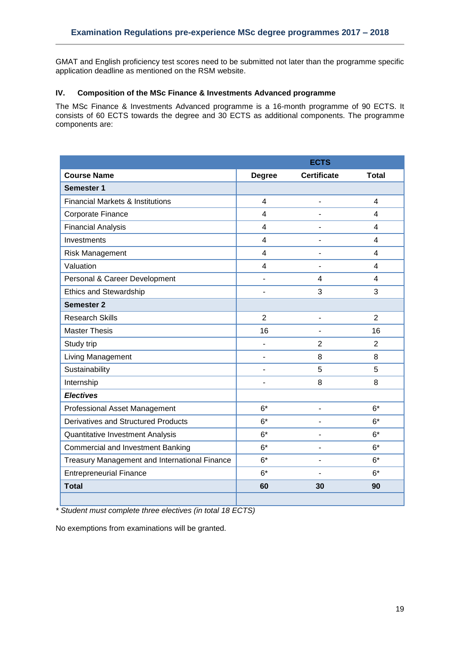GMAT and English proficiency test scores need to be submitted not later than the programme specific application deadline as mentioned on the RSM website.

# **IV. Composition of the MSc Finance & Investments Advanced programme**

The MSc Finance & Investments Advanced programme is a 16-month programme of 90 ECTS. It consists of 60 ECTS towards the degree and 30 ECTS as additional components. The programme components are:

|                                               | <b>ECTS</b>              |                    |                         |  |  |  |
|-----------------------------------------------|--------------------------|--------------------|-------------------------|--|--|--|
| <b>Course Name</b>                            | <b>Degree</b>            | <b>Certificate</b> | <b>Total</b>            |  |  |  |
| <b>Semester 1</b>                             |                          |                    |                         |  |  |  |
| <b>Financial Markets &amp; Institutions</b>   | 4                        | $\overline{a}$     | $\overline{4}$          |  |  |  |
| Corporate Finance                             | $\overline{\mathcal{L}}$ | Ē,                 | $\overline{4}$          |  |  |  |
| <b>Financial Analysis</b>                     | 4                        | ۰                  | $\overline{\mathbf{4}}$ |  |  |  |
| Investments                                   | 4                        | $\blacksquare$     | $\overline{\mathbf{4}}$ |  |  |  |
| Risk Management                               | $\overline{\mathbf{4}}$  |                    | $\overline{\mathbf{4}}$ |  |  |  |
| Valuation                                     | 4                        |                    | 4                       |  |  |  |
| Personal & Career Development                 | L,                       | 4                  | $\overline{\mathbf{4}}$ |  |  |  |
| <b>Ethics and Stewardship</b>                 | ۰                        | 3                  | 3                       |  |  |  |
| <b>Semester 2</b>                             |                          |                    |                         |  |  |  |
| <b>Research Skills</b>                        | $\overline{2}$           | $\blacksquare$     | $\overline{2}$          |  |  |  |
| <b>Master Thesis</b>                          | 16                       |                    | 16                      |  |  |  |
| Study trip                                    | $\overline{a}$           | $\overline{2}$     | $\overline{2}$          |  |  |  |
| Living Management                             | L,                       | 8                  | 8                       |  |  |  |
| Sustainability                                | $\overline{a}$           | 5                  | 5                       |  |  |  |
| Internship                                    |                          | 8                  | 8                       |  |  |  |
| <b>Electives</b>                              |                          |                    |                         |  |  |  |
| Professional Asset Management                 | $6*$                     | $\overline{a}$     | $6*$                    |  |  |  |
| Derivatives and Structured Products           | $6*$                     | $\blacksquare$     | $6*$                    |  |  |  |
| Quantitative Investment Analysis              | $6*$                     | ۰                  | $6*$                    |  |  |  |
| <b>Commercial and Investment Banking</b>      | $6*$                     |                    | $6*$                    |  |  |  |
| Treasury Management and International Finance | $6*$                     |                    | $6*$                    |  |  |  |
| <b>Entrepreneurial Finance</b>                | $6*$                     | ÷,                 | $6*$                    |  |  |  |
| <b>Total</b>                                  | 60                       | 30                 | 90                      |  |  |  |
|                                               |                          |                    |                         |  |  |  |

*\* Student must complete three electives (in total 18 ECTS)*

No exemptions from examinations will be granted.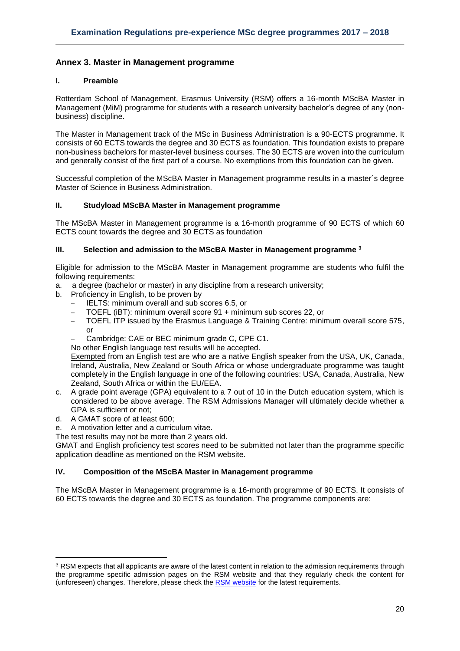# <span id="page-19-0"></span>**Annex 3. Master in Management programme**

## **I. Preamble**

Rotterdam School of Management, Erasmus University (RSM) offers a 16-month MScBA Master in Management (MiM) programme for students with a research university bachelor's degree of any (nonbusiness) discipline.

The Master in Management track of the MSc in Business Administration is a 90-ECTS programme. It consists of 60 ECTS towards the degree and 30 ECTS as foundation. This foundation exists to prepare non-business bachelors for master-level business courses. The 30 ECTS are woven into the curriculum and generally consist of the first part of a course. No exemptions from this foundation can be given.

Successful completion of the MScBA Master in Management programme results in a master´s degree Master of Science in Business Administration.

## **II. Studyload MScBA Master in Management programme**

The MScBA Master in Management programme is a 16-month programme of 90 ECTS of which 60 ECTS count towards the degree and 30 ECTS as foundation

## **III. Selection and admission to the MScBA Master in Management programme <sup>3</sup>**

Eligible for admission to the MScBA Master in Management programme are students who fulfil the following requirements:

- a. a degree (bachelor or master) in any discipline from a research university;
- b. Proficiency in English, to be proven by
	- IELTS: minimum overall and sub scores 6.5, or
	- TOEFL (iBT): minimum overall score 91 + minimum sub scores 22, or
	- TOEFL ITP issued by the Erasmus Language & Training Centre: minimum overall score 575, or
	- Cambridge: CAE or BEC minimum grade C, CPE C1.

No other English language test results will be accepted.

Exempted from an English test are who are a native English speaker from the USA, UK, Canada, Ireland, Australia, New Zealand or South Africa or whose undergraduate programme was taught completely in the English language in one of the following countries: USA, Canada, Australia, New Zealand, South Africa or within the EU/EEA.

- c. A grade point average (GPA) equivalent to a 7 out of 10 in the Dutch education system, which is considered to be above average. The RSM Admissions Manager will ultimately decide whether a GPA is sufficient or not;
- d. A GMAT score of at least 600;

**.** 

- e. A motivation letter and a curriculum vitae.
- The test results may not be more than 2 years old.

GMAT and English proficiency test scores need to be submitted not later than the programme specific application deadline as mentioned on the RSM website.

# **IV. Composition of the MScBA Master in Management programme**

The MScBA Master in Management programme is a 16-month programme of 90 ECTS. It consists of 60 ECTS towards the degree and 30 ECTS as foundation. The programme components are:

<sup>&</sup>lt;sup>3</sup> RSM expects that all applicants are aware of the latest content in relation to the admission requirements through the programme specific admission pages on the RSM website and that they regularly check the content for (unforeseen) changes. Therefore, please check th[e RSM website](https://www.rsm.nl/master/msc-programmes/) for the latest requirements.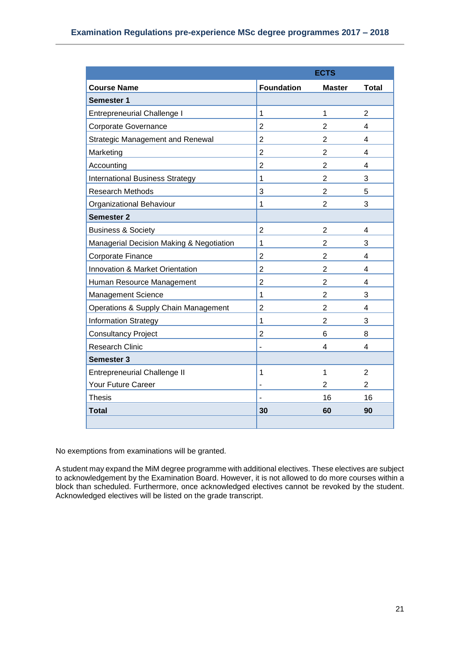| <b>ECTS</b>                              |                              |                |                |  |  |
|------------------------------------------|------------------------------|----------------|----------------|--|--|
| <b>Course Name</b>                       | <b>Foundation</b>            | <b>Master</b>  | <b>Total</b>   |  |  |
| <b>Semester 1</b>                        |                              |                |                |  |  |
| <b>Entrepreneurial Challenge I</b>       | 1                            | 1              | $\overline{2}$ |  |  |
| Corporate Governance                     | $\overline{2}$               | $\overline{2}$ | 4              |  |  |
| <b>Strategic Management and Renewal</b>  | $\overline{2}$               | $\overline{2}$ | 4              |  |  |
| Marketing                                | $\overline{2}$               | $\overline{2}$ | 4              |  |  |
| Accounting                               | $\overline{2}$               | $\overline{2}$ | 4              |  |  |
| <b>International Business Strategy</b>   | 1                            | $\overline{2}$ | 3              |  |  |
| <b>Research Methods</b>                  | 3                            | $\overline{2}$ | 5              |  |  |
| Organizational Behaviour                 | 1                            | $\overline{2}$ | 3              |  |  |
| <b>Semester 2</b>                        |                              |                |                |  |  |
| <b>Business &amp; Society</b>            | $\overline{2}$               | $\overline{2}$ | 4              |  |  |
| Managerial Decision Making & Negotiation | $\mathbf{1}$                 | $\overline{2}$ | 3              |  |  |
| Corporate Finance                        | $\overline{2}$               | $\overline{2}$ | 4              |  |  |
| Innovation & Market Orientation          | $\overline{2}$               | $\overline{2}$ | 4              |  |  |
| Human Resource Management                | $\overline{2}$               | $\overline{2}$ | 4              |  |  |
| Management Science                       | 1                            | $\overline{2}$ | 3              |  |  |
| Operations & Supply Chain Management     | $\overline{2}$               | $\overline{2}$ | 4              |  |  |
| <b>Information Strategy</b>              | 1                            | $\overline{2}$ | 3              |  |  |
| <b>Consultancy Project</b>               | 2                            | 6              | 8              |  |  |
| <b>Research Clinic</b>                   | $\qquad \qquad \blacksquare$ | 4              | 4              |  |  |
| Semester 3                               |                              |                |                |  |  |
| <b>Entrepreneurial Challenge II</b>      | $\mathbf{1}$                 | 1              | $\overline{2}$ |  |  |
| Your Future Career                       | ÷                            | 2              | 2              |  |  |
| <b>Thesis</b>                            |                              | 16             | 16             |  |  |
| <b>Total</b>                             | 30                           | 60             | 90             |  |  |
|                                          |                              |                |                |  |  |

No exemptions from examinations will be granted.

A student may expand the MiM degree programme with additional electives. These electives are subject to acknowledgement by the Examination Board. However, it is not allowed to do more courses within a block than scheduled. Furthermore, once acknowledged electives cannot be revoked by the student. Acknowledged electives will be listed on the grade transcript.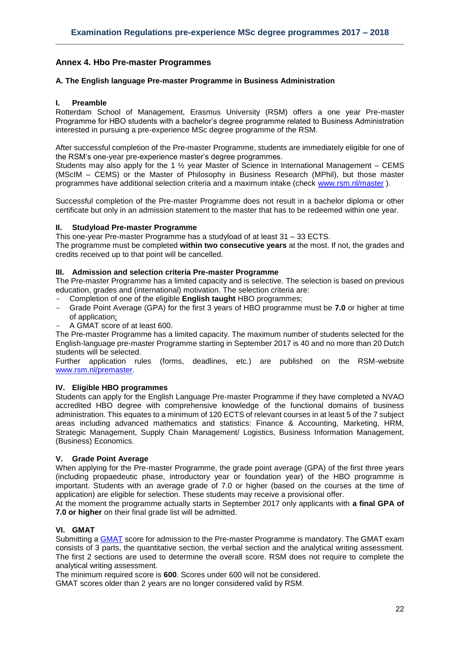# <span id="page-21-0"></span>**Annex 4. Hbo Pre-master Programmes**

## <span id="page-21-1"></span>**A. The English language Pre-master Programme in Business Administration**

#### **I. Preamble**

Rotterdam School of Management, Erasmus University (RSM) offers a one year Pre-master Programme for HBO students with a bachelor's degree programme related to Business Administration interested in pursuing a pre-experience MSc degree programme of the RSM.

After successful completion of the Pre-master Programme, students are immediately eligible for one of the RSM's one-year pre-experience master's degree programmes.

Students may also apply for the 1  $\frac{1}{2}$  year Master of Science in International Management – CEMS (MScIM – CEMS) or the Master of Philosophy in Business Research (MPhil), but those master programmes have additional selection criteria and a maximum intake (check [www.rsm.nl/master](http://www.rsm.nl/master) ).

Successful completion of the Pre-master Programme does not result in a bachelor diploma or other certificate but only in an admission statement to the master that has to be redeemed within one year.

#### **II. Studyload Pre-master Programme**

This one-year Pre-master Programme has a studyload of at least 31 – 33 ECTS.

The programme must be completed **within two consecutive years** at the most. If not, the grades and credits received up to that point will be cancelled.

## **III. Admission and selection criteria Pre-master Programme**

The Pre-master Programme has a limited capacity and is selective. The selection is based on previous education, grades and (international) motivation. The selection criteria are:

- Completion of one of the eligible **English taught** HBO programmes;
- Grade Point Average (GPA) for the first 3 years of HBO programme must be **7.0** or higher at time of application;
- A GMAT score of at least 600.

The Pre-master Programme has a limited capacity. The maximum number of students selected for the English-language pre-master Programme starting in September 2017 is 40 and no more than 20 Dutch students will be selected.

Further application rules (forms, deadlines, etc.) are published on the RSM-website [www.rsm.nl/premaster.](http://www.rsm.nl/premaster)

#### **IV. Eligible HBO programmes**

Students can apply for the English Language Pre-master Programme if they have completed a NVAO accredited HBO degree with comprehensive knowledge of the functional domains of business administration. This equates to a minimum of 120 ECTS of relevant courses in at least 5 of the 7 subject areas including advanced mathematics and statistics: Finance & Accounting, Marketing, HRM, Strategic Management, Supply Chain Management/ Logistics, Business Information Management, (Business) Economics.

#### **V. Grade Point Average**

When applying for the Pre-master Programme, the grade point average (GPA) of the first three years (including propaedeutic phase, introductory year or foundation year) of the HBO programme is important. Students with an average grade of 7.0 or higher (based on the courses at the time of application) are eligible for selection. These students may receive a provisional offer.

At the moment the programme actually starts in September 2017 only applicants with **a final GPA of 7.0 or higher** on their final grade list will be admitted.

#### **VI. GMAT**

Submitting a [GMAT](http://www.mba.com/) score for admission to the Pre-master Programme is mandatory. The GMAT exam consists of 3 parts, the quantitative section, the verbal section and the analytical writing assessment. The first 2 sections are used to determine the overall score. RSM does not require to complete the analytical writing assessment.

The minimum required score is **600**. Scores under 600 will not be considered.

GMAT scores older than 2 years are no longer considered valid by RSM.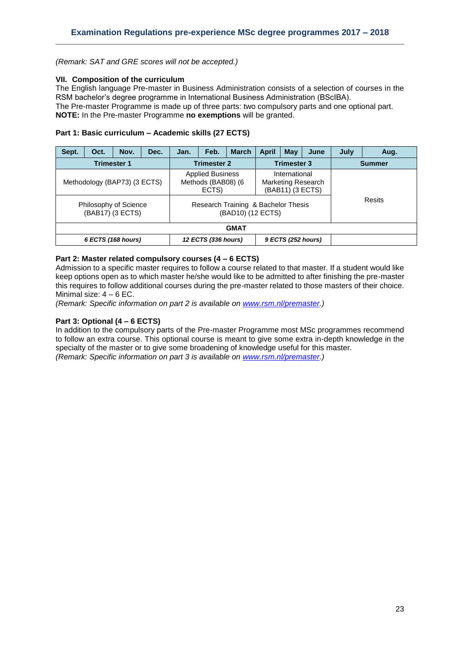*(Remark: SAT and GRE scores will not be accepted.)*

## **VII. Composition of the curriculum**

The English language Pre-master in Business Administration consists of a selection of courses in the RSM bachelor's degree programme in International Business Administration (BScIBA). The Pre-master Programme is made up of three parts: two compulsory parts and one optional part. **NOTE:** In the Pre-master Programme **no exemptions** will be granted.

# **Part 1: Basic curriculum – Academic skills (27 ECTS)**

| Sept.       | Oct.               | Nov.                                                                      | Dec. | Jan. | Feb.                                                   | <b>March</b>                              | <b>April</b>                                                                                                               | May | June          | July | Aug.   |
|-------------|--------------------|---------------------------------------------------------------------------|------|------|--------------------------------------------------------|-------------------------------------------|----------------------------------------------------------------------------------------------------------------------------|-----|---------------|------|--------|
|             |                    | <b>Trimester 1</b>                                                        |      |      | <b>Trimester 2</b>                                     | <b>Trimester 3</b>                        |                                                                                                                            |     | <b>Summer</b> |      |        |
|             |                    | Methodology (BAP73) (3 ECTS)<br>Philosophy of Science<br>(BAB17) (3 ECTS) |      |      | <b>Applied Business</b><br>Methods (BAB08) (6<br>ECTS) |                                           | International<br><b>Marketing Research</b><br>(BAB11) (3 ECTS)<br>Research Training & Bachelor Thesis<br>(BAD10) (12 ECTS) |     |               |      | Resits |
| <b>GMAT</b> |                    |                                                                           |      |      |                                                        |                                           |                                                                                                                            |     |               |      |        |
|             | 6 ECTS (168 hours) |                                                                           |      |      |                                                        | 12 ECTS (336 hours)<br>9 ECTS (252 hours) |                                                                                                                            |     |               |      |        |

# **Part 2: Master related compulsory courses (4 – 6 ECTS)**

Admission to a specific master requires to follow a course related to that master. If a student would like keep options open as to which master he/she would like to be admitted to after finishing the pre-master this requires to follow additional courses during the pre-master related to those masters of their choice. Minimal size:  $4 - 6$  EC.

*(Remark: Specific information on part 2 is available on [www.rsm.nl/premaster.](http://www.rsm.nl/premaster))*

## **Part 3: Optional (4 – 6 ECTS)**

In addition to the compulsory parts of the Pre-master Programme most MSc programmes recommend to follow an extra course. This optional course is meant to give some extra in-depth knowledge in the specialty of the master or to give some broadening of knowledge useful for this master. *(Remark: Specific information on part 3 is available on [www.rsm.nl/premaster.](http://www.rsm.nl/premaster))*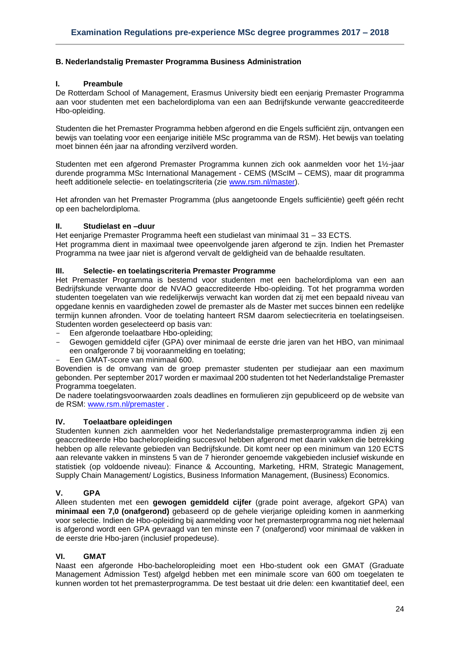# <span id="page-23-0"></span>**B. Nederlandstalig Premaster Programma Business Administration**

## **I. Preambule**

De Rotterdam School of Management, Erasmus University biedt een eenjarig Premaster Programma aan voor studenten met een bachelordiploma van een aan Bedrijfskunde verwante geaccrediteerde Hbo-opleiding.

Studenten die het Premaster Programma hebben afgerond en die Engels sufficiënt zijn, ontvangen een bewijs van toelating voor een eenjarige initiële MSc programma van de RSM). Het bewijs van toelating moet binnen één jaar na afronding verzilverd worden.

Studenten met een afgerond Premaster Programma kunnen zich ook aanmelden voor het 1½-jaar durende programma MSc International Management - CEMS (MScIM – CEMS), maar dit programma heeft additionele selectie- en toelatingscriteria (zie [www.rsm.nl/master\)](http://www.rsm.nl/master).

Het afronden van het Premaster Programma (plus aangetoonde Engels sufficiëntie) geeft géén recht op een bachelordiploma.

## **II. Studielast en –duur**

Het eenjarige Premaster Programma heeft een studielast van minimaal 31 – 33 ECTS.

Het programma dient in maximaal twee opeenvolgende jaren afgerond te zijn. Indien het Premaster Programma na twee jaar niet is afgerond vervalt de geldigheid van de behaalde resultaten.

## **III. Selectie- en toelatingscriteria Premaster Programme**

Het Premaster Programma is bestemd voor studenten met een bachelordiploma van een aan Bedrijfskunde verwante door de NVAO geaccrediteerde Hbo-opleiding. Tot het programma worden studenten toegelaten van wie redelijkerwijs verwacht kan worden dat zij met een bepaald niveau van opgedane kennis en vaardigheden zowel de premaster als de Master met succes binnen een redelijke termijn kunnen afronden. Voor de toelating hanteert RSM daarom selectiecriteria en toelatingseisen. Studenten worden geselecteerd op basis van:

Een afgeronde toelaatbare Hbo-opleiding;

- Gewogen gemiddeld cijfer (GPA) over minimaal de eerste drie jaren van het HBO, van minimaal een onafgeronde 7 bij vooraanmelding en toelating;
- Een GMAT-score van minimaal 600.

Bovendien is de omvang van de groep premaster studenten per studiejaar aan een maximum gebonden. Per september 2017 worden er maximaal 200 studenten tot het Nederlandstalige Premaster Programma toegelaten.

De nadere toelatingsvoorwaarden zoals deadlines en formulieren zijn gepubliceerd op de website van de RSM: [www.rsm.nl/premaster](http://www.rsm.nl/premaster) .

# **IV. Toelaatbare opleidingen**

Studenten kunnen zich aanmelden voor het Nederlandstalige premasterprogramma indien zij een geaccrediteerde Hbo bacheloropleiding succesvol hebben afgerond met daarin vakken die betrekking hebben op alle relevante gebieden van Bedrijfskunde. Dit komt neer op een minimum van 120 ECTS aan relevante vakken in minstens 5 van de 7 hieronder genoemde vakgebieden inclusief wiskunde en statistiek (op voldoende niveau): Finance & Accounting, Marketing, HRM, Strategic Management, Supply Chain Management/ Logistics, Business Information Management, (Business) Economics.

# **V. GPA**

Alleen studenten met een **gewogen gemiddeld cijfer** (grade point average, afgekort GPA) van **minimaal een 7,0 (onafgerond)** gebaseerd op de gehele vierjarige opleiding komen in aanmerking voor selectie. Indien de Hbo-opleiding bij aanmelding voor het premasterprogramma nog niet helemaal is afgerond wordt een GPA gevraagd van ten minste een 7 (onafgerond) voor minimaal de vakken in de eerste drie Hbo-jaren (inclusief propedeuse).

# **VI. GMAT**

Naast een afgeronde Hbo-bacheloropleiding moet een Hbo-student ook een GMAT (Graduate Management Admission Test) afgelgd hebben met een minimale score van 600 om toegelaten te kunnen worden tot het premasterprogramma. De test bestaat uit drie delen: een kwantitatief deel, een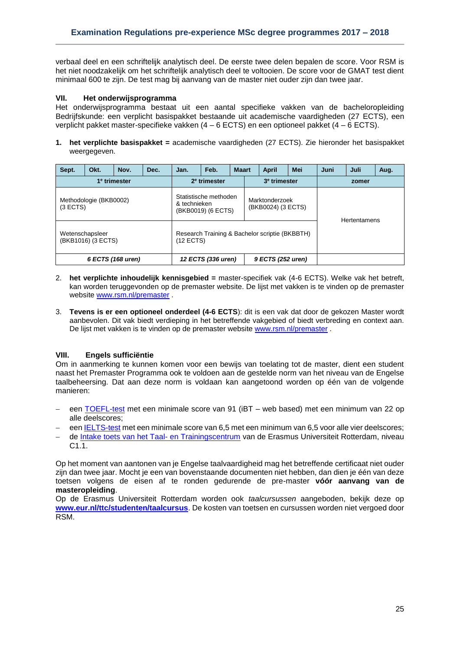verbaal deel en een schriftelijk analytisch deel. De eerste twee delen bepalen de score. Voor RSM is het niet noodzakelijk om het schriftelijk analytisch deel te voltooien. De score voor de GMAT test dient minimaal 600 te zijn. De test mag bij aanvang van de master niet ouder zijn dan twee jaar.

## **VII. Het onderwijsprogramma**

Het onderwijsprogramma bestaat uit een aantal specifieke vakken van de bacheloropleiding Bedrijfskunde: een verplicht basispakket bestaande uit academische vaardigheden (27 ECTS), een verplicht pakket master-specifieke vakken (4 – 6 ECTS) en een optioneel pakket (4 – 6 ECTS).

**1. het verplichte basispakket =** academische vaardigheden (27 ECTS). Zie hieronder het basispakket weergegeven.

| Sept.             | Okt.                                  | Nov.                     | Dec.                                        | Jan.        | Feb.                                    | <b>Maart</b>                                   |  | <b>April</b>        | Mei | Juni | Juli | Aug. |
|-------------------|---------------------------------------|--------------------------|---------------------------------------------|-------------|-----------------------------------------|------------------------------------------------|--|---------------------|-----|------|------|------|
|                   | 1 <sup>e</sup> trimester              | 2 <sup>e</sup> trimester |                                             |             | 3 <sup>e</sup> trimester                |                                                |  |                     |     |      |      |      |
| (3 ECTS)          | Methodologie (BKB0002)                | & technieken             | Statistische methoden<br>(BKB0019) (6 ECTS) |             |                                         | Marktonderzoek<br>(BKB0024) (3 ECTS)           |  | <b>Hertentamens</b> |     |      |      |      |
|                   | Wetenschapsleer<br>(BKB1016) (3 ECTS) |                          |                                             | $(12$ ECTS) |                                         | Research Training & Bachelor scriptie (BKBBTH) |  |                     |     |      |      |      |
| 6 ECTS (168 uren) |                                       |                          |                                             |             | 12 ECTS (336 uren)<br>9 ECTS (252 uren) |                                                |  |                     |     |      |      |      |

- 2. **het verplichte inhoudelijk kennisgebied =** master-specifiek vak (4-6 ECTS). Welke vak het betreft, kan worden teruggevonden op de premaster website. De lijst met vakken is te vinden op de premaster website [www.rsm.nl/premaster](http://www.rsm.nl/premaster) .
- 3. **Tevens is er een optioneel onderdeel (4-6 ECTS**): dit is een vak dat door de gekozen Master wordt aanbevolen. Dit vak biedt verdieping in het betreffende vakgebied of biedt verbreding en context aan. De lijst met vakken is te vinden op de premaster websit[e www.rsm.nl/premaster](http://www.rsm.nl/premaster) .

# **VIII. Engels sufficiëntie**

Om in aanmerking te kunnen komen voor een bewijs van toelating tot de master, dient een student naast het Premaster Programma ook te voldoen aan de gestelde norm van het niveau van de Engelse taalbeheersing. Dat aan deze norm is voldaan kan aangetoond worden op één van de volgende manieren:

- een [TOEFL-test](http://www.toefl.org/) met een minimale score van 91 (iBT web based) met een minimum van 22 op alle deelscores;
- een [IELTS-test](http://www.ielts.org/) met een minimale score van 6,5 met een minimum van 6,5 voor alle vier deelscores;
- de [Intake toets van het Taal-](http://www.eur.nl/ttc/studenten/taaltoets/) en Trainingscentrum van de Erasmus Universiteit Rotterdam, niveau C1.1.

Op het moment van aantonen van je Engelse taalvaardigheid mag het betreffende certificaat niet ouder zijn dan twee jaar. Mocht je een van bovenstaande documenten niet hebben, dan dien je één van deze toetsen volgens de eisen af te ronden gedurende de pre-master **vóór aanvang van de masteropleiding**.

Op de Erasmus Universiteit Rotterdam worden ook *taalcursussen* aangeboden, bekijk deze op **[www.eur.nl/ttc/studenten/taalcursus](http://www.eur.nl/ttc/studenten/taalcursus)**. De kosten van toetsen en cursussen worden niet vergoed door RSM.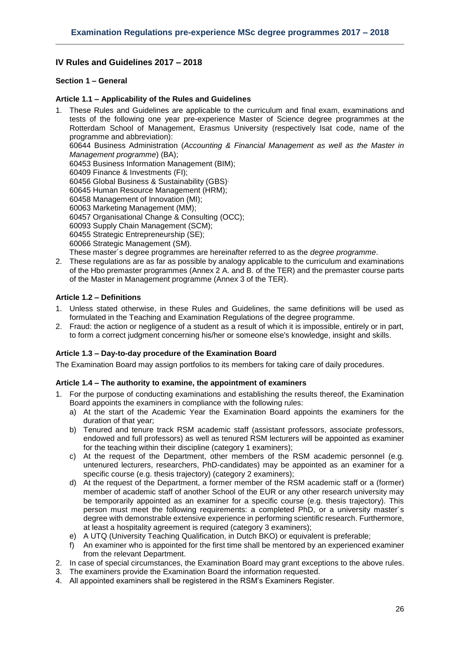# <span id="page-25-0"></span>**IV Rules and Guidelines 2017 – 2018**

## <span id="page-25-1"></span>**Section 1 – General**

## <span id="page-25-2"></span>**Article 1.1 – Applicability of the Rules and Guidelines**

1. These Rules and Guidelines are applicable to the curriculum and final exam, examinations and tests of the following one year pre-experience Master of Science degree programmes at the Rotterdam School of Management, Erasmus University (respectively Isat code, name of the programme and abbreviation): 60644 Business Administration (*Accounting & Financial Management as well as the Master in Management programme*) (BA); 60453 Business Information Management (BIM); 60409 Finance & Investments (FI); 60456 Global Business & Sustainability (GBS) ; 60645 Human Resource Management (HRM); 60458 Management of Innovation (MI); 60063 Marketing Management (MM); 60457 Organisational Change & Consulting (OCC); 60093 Supply Chain Management (SCM); 60455 Strategic Entrepreneurship (SE); 60066 Strategic Management (SM).

These master´s degree programmes are hereinafter referred to as the *degree programme*.

2. These regulations are as far as possible by analogy applicable to the curriculum and examinations of the Hbo premaster programmes (Annex 2 A. and B. of the TER) and the premaster course parts of the Master in Management programme (Annex 3 of the TER).

## <span id="page-25-3"></span>**Article 1.2 – Definitions**

- 1. Unless stated otherwise, in these Rules and Guidelines, the same definitions will be used as formulated in the Teaching and Examination Regulations of the degree programme.
- 2. Fraud: the action or negligence of a student as a result of which it is impossible, entirely or in part, to form a correct judgment concerning his/her or someone else's knowledge, insight and skills.

#### <span id="page-25-4"></span>**Article 1.3 – Day-to-day procedure of the Examination Board**

<span id="page-25-5"></span>The Examination Board may assign portfolios to its members for taking care of daily procedures.

#### **Article 1.4 – The authority to examine, the appointment of examiners**

- 1. For the purpose of conducting examinations and establishing the results thereof, the Examination Board appoints the examiners in compliance with the following rules:
	- a) At the start of the Academic Year the Examination Board appoints the examiners for the duration of that year;
	- b) Tenured and tenure track RSM academic staff (assistant professors, associate professors, endowed and full professors) as well as tenured RSM lecturers will be appointed as examiner for the teaching within their discipline (category 1 examiners);
	- c) At the request of the Department, other members of the RSM academic personnel (e.g. untenured lecturers, researchers, PhD-candidates) may be appointed as an examiner for a specific course (e.g. thesis trajectory) (category 2 examiners);
	- d) At the request of the Department, a former member of the RSM academic staff or a (former) member of academic staff of another School of the EUR or any other research university may be temporarily appointed as an examiner for a specific course (e.g. thesis trajectory). This person must meet the following requirements: a completed PhD, or a university master´s degree with demonstrable extensive experience in performing scientific research. Furthermore, at least a hospitality agreement is required (category 3 examiners);
	- e) A UTQ (University Teaching Qualification, in Dutch BKO) or equivalent is preferable;
	- f) An examiner who is appointed for the first time shall be mentored by an experienced examiner from the relevant Department.
- 2. In case of special circumstances, the Examination Board may grant exceptions to the above rules.
- 3. The examiners provide the Examination Board the information requested.
- 4. All appointed examiners shall be registered in the RSM's Examiners Register.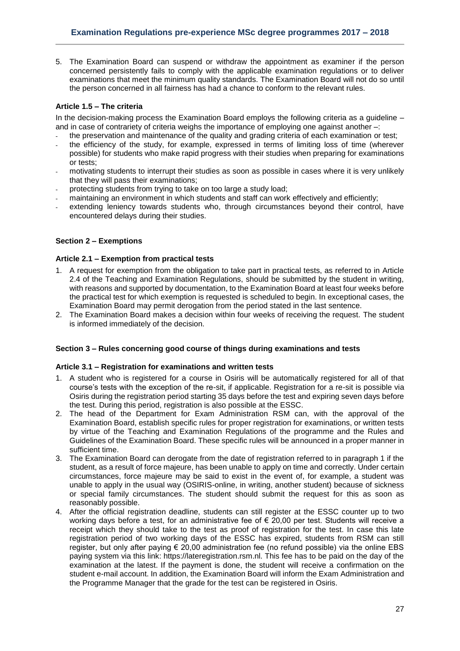5. The Examination Board can suspend or withdraw the appointment as examiner if the person concerned persistently fails to comply with the applicable examination regulations or to deliver examinations that meet the minimum quality standards. The Examination Board will not do so until the person concerned in all fairness has had a chance to conform to the relevant rules.

## <span id="page-26-0"></span>**Article 1.5 – The criteria**

In the decision-making process the Examination Board employs the following criteria as a guideline – and in case of contrariety of criteria weighs the importance of employing one against another –:

- the preservation and maintenance of the quality and grading criteria of each examination or test;
- the efficiency of the study, for example, expressed in terms of limiting loss of time (wherever possible) for students who make rapid progress with their studies when preparing for examinations or tests;
- motivating students to interrupt their studies as soon as possible in cases where it is very unlikely that they will pass their examinations;
- protecting students from trying to take on too large a study load;
- maintaining an environment in which students and staff can work effectively and efficiently;
- extending leniency towards students who, through circumstances beyond their control, have encountered delays during their studies.

## <span id="page-26-1"></span>**Section 2 – Exemptions**

# <span id="page-26-2"></span>**Article 2.1 – Exemption from practical tests**

- 1. A request for exemption from the obligation to take part in practical tests, as referred to in Article 2.4 of the Teaching and Examination Regulations, should be submitted by the student in writing, with reasons and supported by documentation, to the Examination Board at least four weeks before the practical test for which exemption is requested is scheduled to begin. In exceptional cases, the Examination Board may permit derogation from the period stated in the last sentence.
- 2. The Examination Board makes a decision within four weeks of receiving the request. The student is informed immediately of the decision.

#### <span id="page-26-3"></span>**Section 3 – Rules concerning good course of things during examinations and tests**

#### <span id="page-26-4"></span>**Article 3.1 – Registration for examinations and written tests**

- 1. A student who is registered for a course in Osiris will be automatically registered for all of that course's tests with the exception of the re-sit, if applicable. Registration for a re-sit is possible via Osiris during the registration period starting 35 days before the test and expiring seven days before the test. During this period, registration is also possible at the ESSC.
- 2. The head of the Department for Exam Administration RSM can, with the approval of the Examination Board, establish specific rules for proper registration for examinations, or written tests by virtue of the Teaching and Examination Regulations of the programme and the Rules and Guidelines of the Examination Board. These specific rules will be announced in a proper manner in sufficient time.
- 3. The Examination Board can derogate from the date of registration referred to in paragraph 1 if the student, as a result of force majeure, has been unable to apply on time and correctly. Under certain circumstances, force majeure may be said to exist in the event of, for example, a student was unable to apply in the usual way (OSIRIS-online, in writing, another student) because of sickness or special family circumstances. The student should submit the request for this as soon as reasonably possible.
- 4. After the official registration deadline, students can still register at the ESSC counter up to two working days before a test, for an administrative fee of  $\epsilon$  20,00 per test. Students will receive a receipt which they should take to the test as proof of registration for the test. In case this late registration period of two working days of the ESSC has expired, students from RSM can still register, but only after paying € 20,00 administration fee (no refund possible) via the online EBS paying system via this link: https://lateregistration.rsm.nl. This fee has to be paid on the day of the examination at the latest. If the payment is done, the student will receive a confirmation on the student e-mail account. In addition, the Examination Board will inform the Exam Administration and the Programme Manager that the grade for the test can be registered in Osiris.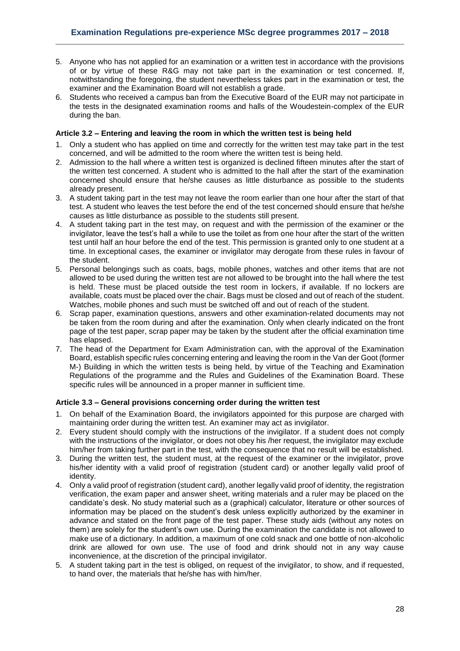- 5. Anyone who has not applied for an examination or a written test in accordance with the provisions of or by virtue of these R&G may not take part in the examination or test concerned. If, notwithstanding the foregoing, the student nevertheless takes part in the examination or test, the examiner and the Examination Board will not establish a grade.
- 6. Students who received a campus ban from the Executive Board of the EUR may not participate in the tests in the designated examination rooms and halls of the Woudestein-complex of the EUR during the ban.

# <span id="page-27-0"></span>**Article 3.2 – Entering and leaving the room in which the written test is being held**

- 1. Only a student who has applied on time and correctly for the written test may take part in the test concerned, and will be admitted to the room where the written test is being held.
- 2. Admission to the hall where a written test is organized is declined fifteen minutes after the start of the written test concerned. A student who is admitted to the hall after the start of the examination concerned should ensure that he/she causes as little disturbance as possible to the students already present.
- 3. A student taking part in the test may not leave the room earlier than one hour after the start of that test. A student who leaves the test before the end of the test concerned should ensure that he/she causes as little disturbance as possible to the students still present.
- 4. A student taking part in the test may, on request and with the permission of the examiner or the invigilator, leave the test's hall a while to use the toilet as from one hour after the start of the written test until half an hour before the end of the test. This permission is granted only to one student at a time. In exceptional cases, the examiner or invigilator may derogate from these rules in favour of the student.
- 5. Personal belongings such as coats, bags, mobile phones, watches and other items that are not allowed to be used during the written test are not allowed to be brought into the hall where the test is held. These must be placed outside the test room in lockers, if available. If no lockers are available, coats must be placed over the chair. Bags must be closed and out of reach of the student. Watches, mobile phones and such must be switched off and out of reach of the student.
- 6. Scrap paper, examination questions, answers and other examination-related documents may not be taken from the room during and after the examination. Only when clearly indicated on the front page of the test paper, scrap paper may be taken by the student after the official examination time has elapsed.
- 7. The head of the Department for Exam Administration can, with the approval of the Examination Board, establish specific rules concerning entering and leaving the room in the Van der Goot (former M-) Building in which the written tests is being held, by virtue of the Teaching and Examination Regulations of the programme and the Rules and Guidelines of the Examination Board. These specific rules will be announced in a proper manner in sufficient time.

# <span id="page-27-1"></span>**Article 3.3 – General provisions concerning order during the written test**

- 1. On behalf of the Examination Board, the invigilators appointed for this purpose are charged with maintaining order during the written test. An examiner may act as invigilator.
- 2. Every student should comply with the instructions of the invigilator. If a student does not comply with the instructions of the invigilator, or does not obey his /her request, the invigilator may exclude him/her from taking further part in the test, with the consequence that no result will be established.
- 3. During the written test, the student must, at the request of the examiner or the invigilator, prove his/her identity with a valid proof of registration (student card) or another legally valid proof of identity.
- 4. Only a valid proof of registration (student card), another legally valid proof of identity, the registration verification, the exam paper and answer sheet, writing materials and a ruler may be placed on the candidate's desk. No study material such as a (graphical) calculator, literature or other sources of information may be placed on the student's desk unless explicitly authorized by the examiner in advance and stated on the front page of the test paper. These study aids (without any notes on them) are solely for the student's own use. During the examination the candidate is not allowed to make use of a dictionary. In addition, a maximum of one cold snack and one bottle of non-alcoholic drink are allowed for own use. The use of food and drink should not in any way cause inconvenience, at the discretion of the principal invigilator.
- 5. A student taking part in the test is obliged, on request of the invigilator, to show, and if requested, to hand over, the materials that he/she has with him/her.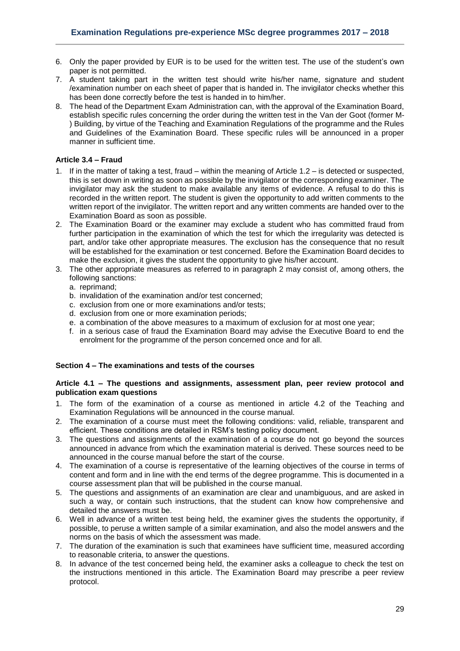- 6. Only the paper provided by EUR is to be used for the written test. The use of the student's own paper is not permitted.
- 7. A student taking part in the written test should write his/her name, signature and student /examination number on each sheet of paper that is handed in. The invigilator checks whether this has been done correctly before the test is handed in to him/her.
- 8. The head of the Department Exam Administration can, with the approval of the Examination Board, establish specific rules concerning the order during the written test in the Van der Goot (former M- ) Building, by virtue of the Teaching and Examination Regulations of the programme and the Rules and Guidelines of the Examination Board. These specific rules will be announced in a proper manner in sufficient time.

## <span id="page-28-0"></span>**Article 3.4 – Fraud**

- 1. If in the matter of taking a test, fraud within the meaning of Article 1.2 is detected or suspected, this is set down in writing as soon as possible by the invigilator or the corresponding examiner. The invigilator may ask the student to make available any items of evidence. A refusal to do this is recorded in the written report. The student is given the opportunity to add written comments to the written report of the invigilator. The written report and any written comments are handed over to the Examination Board as soon as possible.
- 2. The Examination Board or the examiner may exclude a student who has committed fraud from further participation in the examination of which the test for which the irregularity was detected is part, and/or take other appropriate measures. The exclusion has the consequence that no result will be established for the examination or test concerned. Before the Examination Board decides to make the exclusion, it gives the student the opportunity to give his/her account.
- 3. The other appropriate measures as referred to in paragraph 2 may consist of, among others, the following sanctions:
	- a. reprimand;
	- b. invalidation of the examination and/or test concerned;
	- c. exclusion from one or more examinations and/or tests;
	- d. exclusion from one or more examination periods;
	- e. a combination of the above measures to a maximum of exclusion for at most one year;
	- f. in a serious case of fraud the Examination Board may advise the Executive Board to end the enrolment for the programme of the person concerned once and for all.

#### <span id="page-28-1"></span>**Section 4 – The examinations and tests of the courses**

## <span id="page-28-2"></span>**Article 4.1 – The questions and assignments, assessment plan, peer review protocol and publication exam questions**

- 1. The form of the examination of a course as mentioned in article 4.2 of the Teaching and Examination Regulations will be announced in the course manual.
- 2. The examination of a course must meet the following conditions: valid, reliable, transparent and efficient. These conditions are detailed in RSM's testing policy document.
- 3. The questions and assignments of the examination of a course do not go beyond the sources announced in advance from which the examination material is derived. These sources need to be announced in the course manual before the start of the course.
- 4. The examination of a course is representative of the learning objectives of the course in terms of content and form and in line with the end terms of the degree programme. This is documented in a course assessment plan that will be published in the course manual.
- 5. The questions and assignments of an examination are clear and unambiguous, and are asked in such a way, or contain such instructions, that the student can know how comprehensive and detailed the answers must be.
- 6. Well in advance of a written test being held, the examiner gives the students the opportunity, if possible, to peruse a written sample of a similar examination, and also the model answers and the norms on the basis of which the assessment was made.
- 7. The duration of the examination is such that examinees have sufficient time, measured according to reasonable criteria, to answer the questions.
- 8. In advance of the test concerned being held, the examiner asks a colleague to check the test on the instructions mentioned in this article. The Examination Board may prescribe a peer review protocol.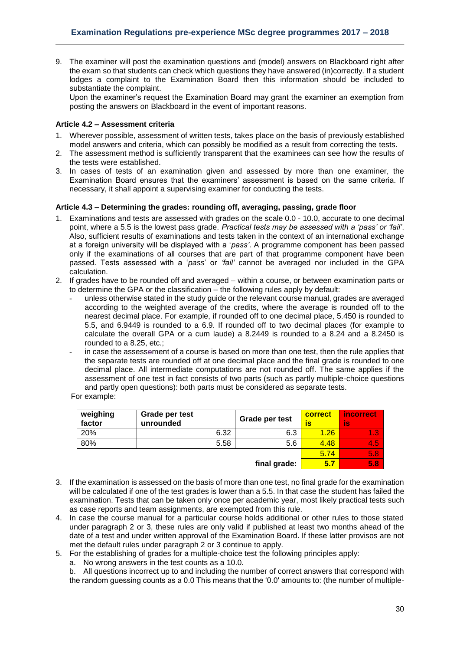9. The examiner will post the examination questions and (model) answers on Blackboard right after the exam so that students can check which questions they have answered (in)correctly. If a student lodges a complaint to the Examination Board then this information should be included to substantiate the complaint.

Upon the examiner's request the Examination Board may grant the examiner an exemption from posting the answers on Blackboard in the event of important reasons.

## <span id="page-29-0"></span>**Article 4.2 – Assessment criteria**

- 1. Wherever possible, assessment of written tests, takes place on the basis of previously established model answers and criteria, which can possibly be modified as a result from correcting the tests.
- 2. The assessment method is sufficiently transparent that the examinees can see how the results of the tests were established.
- 3. In cases of tests of an examination given and assessed by more than one examiner, the Examination Board ensures that the examiners' assessment is based on the same criteria. If necessary, it shall appoint a supervising examiner for conducting the tests.

## <span id="page-29-1"></span>**Article 4.3 – Determining the grades: rounding off, averaging, passing, grade floor**

- 1. Examinations and tests are assessed with grades on the scale 0.0 10.0, accurate to one decimal point, where a 5.5 is the lowest pass grade*. Practical tests may be assessed with a 'pass' or 'fail'*. Also, sufficient results of examinations and tests taken in the context of an international exchange at a foreign university will be displayed with a '*pass'*. A programme component has been passed only if the examinations of all courses that are part of that programme component have been passed. Tests assessed with a '*pass*' or *'fail'* cannot be averaged nor included in the GPA calculation.
- 2. If grades have to be rounded off and averaged within a course, or between examination parts or to determine the GPA or the classification – the following rules apply by default:
	- unless otherwise stated in the study guide or the relevant course manual, grades are averaged according to the weighted average of the credits, where the average is rounded off to the nearest decimal place. For example, if rounded off to one decimal place, 5.450 is rounded to 5.5, and 6.9449 is rounded to a 6.9. If rounded off to two decimal places (for example to calculate the overall GPA or a cum laude) a 8.2449 is rounded to a 8.24 and a 8.2450 is rounded to a 8.25, etc.;
	- in case the assessement of a course is based on more than one test, then the rule applies that the separate tests are rounded off at one decimal place and the final grade is rounded to one decimal place. All intermediate computations are not rounded off. The same applies if the assessment of one test in fact consists of two parts (such as partly multiple-choice questions and partly open questions): both parts must be considered as separate tests.

For example:

| weighing<br>factor | Grade per test<br>unrounded | Grade per test | correct<br>is | incorrect.<br>İs |
|--------------------|-----------------------------|----------------|---------------|------------------|
| 20%                | 6.32                        | 6.3            | 1.26          | 1.3              |
| 80%                | 5.58                        | 5.6            | 4.48          | 4.5              |
|                    |                             |                | 5.74          | 5.8              |
|                    |                             | final grade:   | 5.7           | 5.8              |

- 3. If the examination is assessed on the basis of more than one test, no final grade for the examination will be calculated if one of the test grades is lower than a 5.5. In that case the student has failed the examination. Tests that can be taken only once per academic year, most likely practical tests such as case reports and team assignments, are exempted from this rule.
- 4. In case the course manual for a particular course holds additional or other rules to those stated under paragraph 2 or 3, these rules are only valid if published at least two months ahead of the date of a test and under written approval of the Examination Board. If these latter provisos are not met the default rules under paragraph 2 or 3 continue to apply.
- 5. For the establishing of grades for a multiple-choice test the following principles apply:

a. No wrong answers in the test counts as a 10.0.

b. All questions incorrect up to and including the number of correct answers that correspond with the random guessing counts as a 0.0 This means that the '0.0' amounts to: (the number of multiple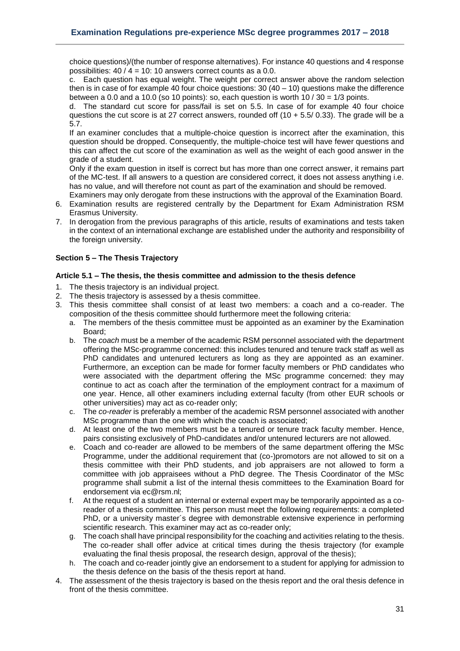choice questions)/(the number of response alternatives). For instance 40 questions and 4 response possibilities: 40 / 4 = 10: 10 answers correct counts as a 0.0.

c. Each question has equal weight. The weight per correct answer above the random selection then is in case of for example 40 four choice questions:  $30(40 - 10)$  questions make the difference between a 0.0 and a 10.0 (so 10 points): so, each question is worth  $10/30 = 1/3$  points.

d. The standard cut score for pass/fail is set on 5.5. In case of for example 40 four choice questions the cut score is at 27 correct answers, rounded off  $(10 + 5.5/ 0.33)$ . The grade will be a 5.7.

If an examiner concludes that a multiple-choice question is incorrect after the examination, this question should be dropped. Consequently, the multiple-choice test will have fewer questions and this can affect the cut score of the examination as well as the weight of each good answer in the grade of a student.

Only if the exam question in itself is correct but has more than one correct answer, it remains part of the MC-test. If all answers to a question are considered correct, it does not assess anything i.e. has no value, and will therefore not count as part of the examination and should be removed. Examiners may only derogate from these instructions with the approval of the Examination Board.

- 6. Examination results are registered centrally by the Department for Exam Administration RSM Erasmus University.
- 7. In derogation from the previous paragraphs of this article, results of examinations and tests taken in the context of an international exchange are established under the authority and responsibility of the foreign university.

# <span id="page-30-0"></span>**Section 5 – The Thesis Trajectory**

## <span id="page-30-1"></span>**Article 5.1 – The thesis, the thesis committee and admission to the thesis defence**

- 1. The thesis trajectory is an individual project.
- 2. The thesis trajectory is assessed by a thesis committee.
- 3. This thesis committee shall consist of at least two members: a coach and a co-reader. The composition of the thesis committee should furthermore meet the following criteria:
	- a. The members of the thesis committee must be appointed as an examiner by the Examination Board;
	- b. The *coach* must be a member of the academic RSM personnel associated with the department offering the MSc-programme concerned: this includes tenured and tenure track staff as well as PhD candidates and untenured lecturers as long as they are appointed as an examiner. Furthermore, an exception can be made for former faculty members or PhD candidates who were associated with the department offering the MSc programme concerned: they may continue to act as coach after the termination of the employment contract for a maximum of one year. Hence, all other examiners including external faculty (from other EUR schools or other universities) may act as co-reader only;
	- c. The *co-reader* is preferably a member of the academic RSM personnel associated with another MSc programme than the one with which the coach is associated;
	- d. At least one of the two members must be a tenured or tenure track faculty member. Hence, pairs consisting exclusively of PhD-candidates and/or untenured lecturers are not allowed.
	- e. Coach and co-reader are allowed to be members of the same department offering the MSc Programme, under the additional requirement that (co-)promotors are not allowed to sit on a thesis committee with their PhD students, and job appraisers are not allowed to form a committee with job appraisees without a PhD degree. The Thesis Coordinator of the MSc programme shall submit a list of the internal thesis committees to the Examination Board for endorsement via ec@rsm.nl;
	- f. At the request of a student an internal or external expert may be temporarily appointed as a coreader of a thesis committee. This person must meet the following requirements: a completed PhD, or a university master´s degree with demonstrable extensive experience in performing scientific research. This examiner may act as co-reader only;
	- g. The coach shall have principal responsibility for the coaching and activities relating to the thesis. The co-reader shall offer advice at critical times during the thesis trajectory (for example evaluating the final thesis proposal, the research design, approval of the thesis);
	- h. The coach and co-reader jointly give an endorsement to a student for applying for admission to the thesis defence on the basis of the thesis report at hand.
- 4. The assessment of the thesis trajectory is based on the thesis report and the oral thesis defence in front of the thesis committee.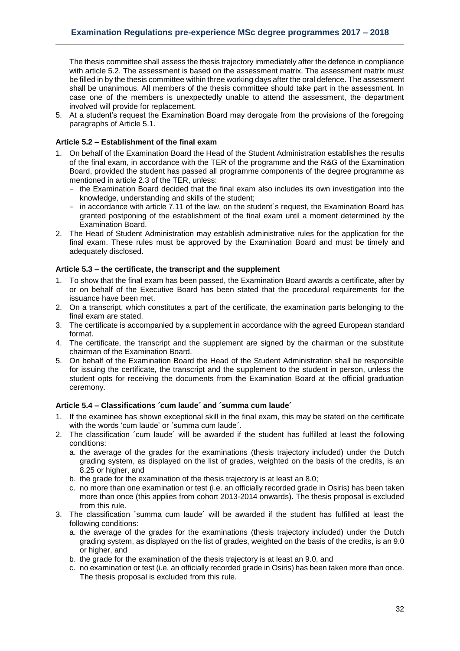The thesis committee shall assess the thesis trajectory immediately after the defence in compliance with article 5.2. The assessment is based on the assessment matrix. The assessment matrix must be filled in by the thesis committee within three working days after the oral defence. The assessment shall be unanimous. All members of the thesis committee should take part in the assessment. In case one of the members is unexpectedly unable to attend the assessment, the department involved will provide for replacement.

5. At a student's request the Examination Board may derogate from the provisions of the foregoing paragraphs of Article 5.1.

# <span id="page-31-0"></span>**Article 5.2 – Establishment of the final exam**

- 1. On behalf of the Examination Board the Head of the Student Administration establishes the results of the final exam, in accordance with the TER of the programme and the R&G of the Examination Board, provided the student has passed all programme components of the degree programme as mentioned in article 2.3 of the TER, unless:
	- the Examination Board decided that the final exam also includes its own investigation into the knowledge, understanding and skills of the student;
	- in accordance with article 7.11 of the law, on the student's request, the Examination Board has granted postponing of the establishment of the final exam until a moment determined by the Examination Board.
- 2. The Head of Student Administration may establish administrative rules for the application for the final exam. These rules must be approved by the Examination Board and must be timely and adequately disclosed.

#### <span id="page-31-1"></span>**Article 5.3 – the certificate, the transcript and the supplement**

- 1. To show that the final exam has been passed, the Examination Board awards a certificate, after by or on behalf of the Executive Board has been stated that the procedural requirements for the issuance have been met.
- 2. On a transcript, which constitutes a part of the certificate, the examination parts belonging to the final exam are stated.
- 3. The certificate is accompanied by a supplement in accordance with the agreed European standard format.
- 4. The certificate, the transcript and the supplement are signed by the chairman or the substitute chairman of the Examination Board.
- 5. On behalf of the Examination Board the Head of the Student Administration shall be responsible for issuing the certificate, the transcript and the supplement to the student in person, unless the student opts for receiving the documents from the Examination Board at the official graduation ceremony.

# <span id="page-31-2"></span>**Article 5.4 – Classifications ´cum laude´ and ´summa cum laude´**

- If the examinee has shown exceptional skill in the final exam, this may be stated on the certificate with the words 'cum laude' or ´summa cum laude´.
- 2. The classification ´cum laude´ will be awarded if the student has fulfilled at least the following conditions:
	- a. the average of the grades for the examinations (thesis trajectory included) under the Dutch grading system, as displayed on the list of grades, weighted on the basis of the credits, is an 8.25 or higher, and
	- b. the grade for the examination of the thesis trajectory is at least an 8.0;
	- c. no more than one examination or test (i.e. an officially recorded grade in Osiris) has been taken more than once (this applies from cohort 2013-2014 onwards). The thesis proposal is excluded from this rule.
- 3. The classification ´summa cum laude´ will be awarded if the student has fulfilled at least the following conditions:
	- a. the average of the grades for the examinations (thesis trajectory included) under the Dutch grading system, as displayed on the list of grades, weighted on the basis of the credits, is an 9.0 or higher, and
	- b. the grade for the examination of the thesis trajectory is at least an 9.0, and
	- c. no examination or test (i.e. an officially recorded grade in Osiris) has been taken more than once. The thesis proposal is excluded from this rule.